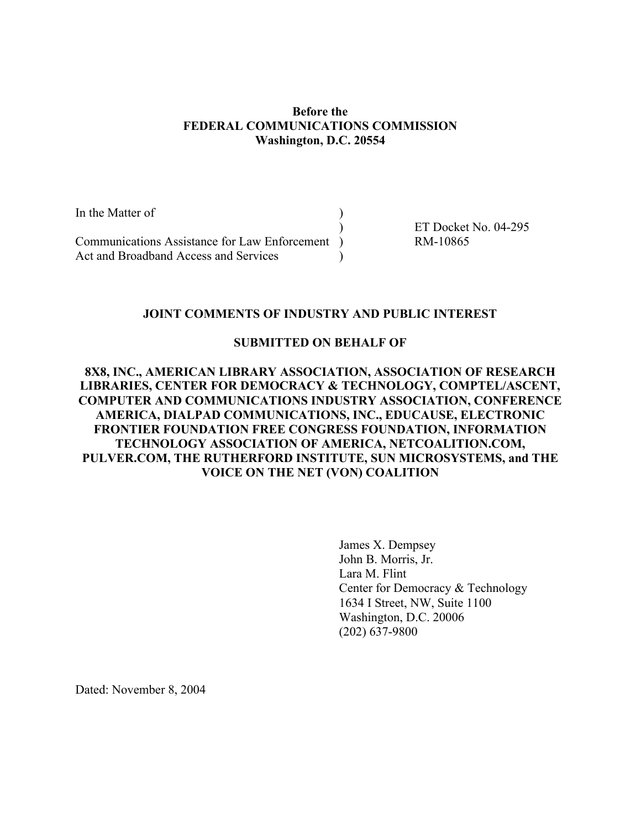### Before the FEDERAL COMMUNICATIONS COMMISSION Washington, D.C. 20554

| In the Matter of                                |                      |
|-------------------------------------------------|----------------------|
|                                                 | ET Docket No. 04-295 |
| Communications Assistance for Law Enforcement ) | RM-10865             |
| Act and Broadband Access and Services           |                      |

### JOINT COMMENTS OF INDUSTRY AND PUBLIC INTEREST

#### SUBMITTED ON BEHALF OF

### 8X8, INC., AMERICAN LIBRARY ASSOCIATION, ASSOCIATION OF RESEARCH LIBRARIES, CENTER FOR DEMOCRACY & TECHNOLOGY, COMPTEL/ASCENT, COMPUTER AND COMMUNICATIONS INDUSTRY ASSOCIATION, CONFERENCE AMERICA, DIALPAD COMMUNICATIONS, INC., EDUCAUSE, ELECTRONIC FRONTIER FOUNDATION FREE CONGRESS FOUNDATION, INFORMATION TECHNOLOGY ASSOCIATION OF AMERICA, NETCOALITION.COM, PULVER.COM, THE RUTHERFORD INSTITUTE, SUN MICROSYSTEMS, and THE VOICE ON THE NET (VON) COALITION

James X. Dempsey John B. Morris, Jr. Lara M. Flint Center for Democracy & Technology 1634 I Street, NW, Suite 1100 Washington, D.C. 20006 (202) 637-9800

Dated: November 8, 2004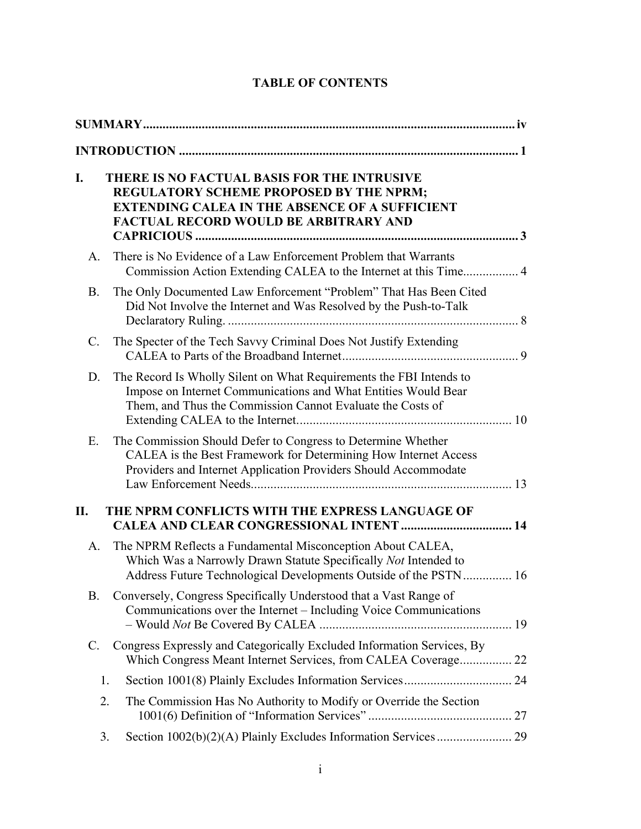| I.              | <b>THERE IS NO FACTUAL BASIS FOR THE INTRUSIVE</b><br>REGULATORY SCHEME PROPOSED BY THE NPRM;<br><b>EXTENDING CALEA IN THE ABSENCE OF A SUFFICIENT</b><br><b>FACTUAL RECORD WOULD BE ARBITRARY AND</b> |  |  |
|-----------------|--------------------------------------------------------------------------------------------------------------------------------------------------------------------------------------------------------|--|--|
| A.              | There is No Evidence of a Law Enforcement Problem that Warrants                                                                                                                                        |  |  |
| <b>B.</b>       | The Only Documented Law Enforcement "Problem" That Has Been Cited<br>Did Not Involve the Internet and Was Resolved by the Push-to-Talk                                                                 |  |  |
| $\mathcal{C}$ . | The Specter of the Tech Savvy Criminal Does Not Justify Extending                                                                                                                                      |  |  |
| D.              | The Record Is Wholly Silent on What Requirements the FBI Intends to<br>Impose on Internet Communications and What Entities Would Bear<br>Them, and Thus the Commission Cannot Evaluate the Costs of    |  |  |
| Е.              | The Commission Should Defer to Congress to Determine Whether<br>CALEA is the Best Framework for Determining How Internet Access<br>Providers and Internet Application Providers Should Accommodate     |  |  |
| П.              | THE NPRM CONFLICTS WITH THE EXPRESS LANGUAGE OF                                                                                                                                                        |  |  |
| A.              | The NPRM Reflects a Fundamental Misconception About CALEA,<br>Which Was a Narrowly Drawn Statute Specifically Not Intended to<br>Address Future Technological Developments Outside of the PSTN 16      |  |  |
| <b>B.</b>       | Conversely, Congress Specifically Understood that a Vast Range of<br>Communications over the Internet - Including Voice Communications                                                                 |  |  |
| C.              | Congress Expressly and Categorically Excluded Information Services, By<br>Which Congress Meant Internet Services, from CALEA Coverage 22                                                               |  |  |
|                 | Section 1001(8) Plainly Excludes Information Services 24<br>1.                                                                                                                                         |  |  |
|                 | 2.<br>The Commission Has No Authority to Modify or Override the Section                                                                                                                                |  |  |
|                 | 3.                                                                                                                                                                                                     |  |  |

# TABLE OF CONTENTS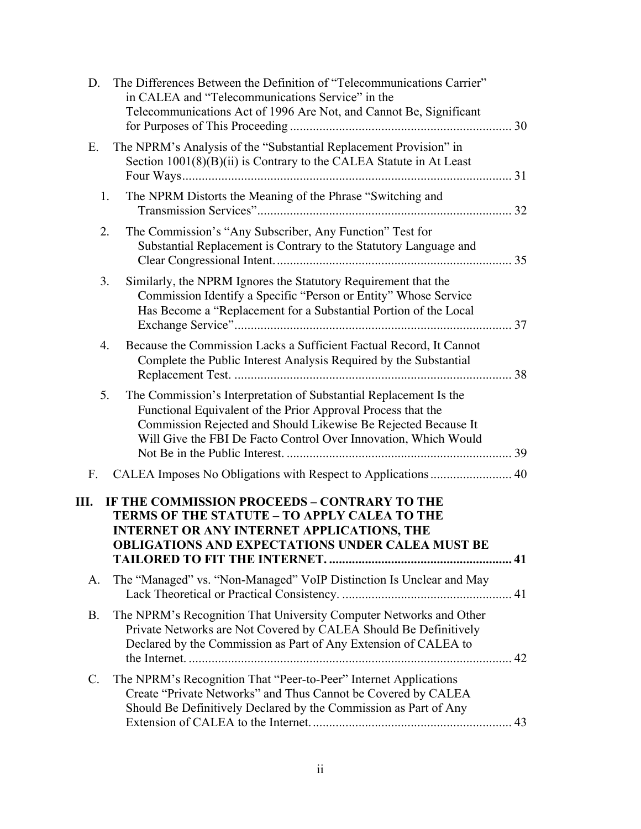| D.        | The Differences Between the Definition of "Telecommunications Carrier"<br>in CALEA and "Telecommunications Service" in the<br>Telecommunications Act of 1996 Are Not, and Cannot Be, Significant                                                                       |  |
|-----------|------------------------------------------------------------------------------------------------------------------------------------------------------------------------------------------------------------------------------------------------------------------------|--|
| Е.        | The NPRM's Analysis of the "Substantial Replacement Provision" in<br>Section $1001(8)(B)(ii)$ is Contrary to the CALEA Statute in At Least                                                                                                                             |  |
| 1.        | The NPRM Distorts the Meaning of the Phrase "Switching and                                                                                                                                                                                                             |  |
| 2.        | The Commission's "Any Subscriber, Any Function" Test for<br>Substantial Replacement is Contrary to the Statutory Language and                                                                                                                                          |  |
| 3.        | Similarly, the NPRM Ignores the Statutory Requirement that the<br>Commission Identify a Specific "Person or Entity" Whose Service<br>Has Become a "Replacement for a Substantial Portion of the Local                                                                  |  |
| 4.        | Because the Commission Lacks a Sufficient Factual Record, It Cannot<br>Complete the Public Interest Analysis Required by the Substantial                                                                                                                               |  |
| 5.        | The Commission's Interpretation of Substantial Replacement Is the<br>Functional Equivalent of the Prior Approval Process that the<br>Commission Rejected and Should Likewise Be Rejected Because It<br>Will Give the FBI De Facto Control Over Innovation, Which Would |  |
| F.        | CALEA Imposes No Obligations with Respect to Applications  40                                                                                                                                                                                                          |  |
|           | <b>III. IF THE COMMISSION PROCEEDS - CONTRARY TO THE</b><br>TERMS OF THE STATUTE - TO APPLY CALEA TO THE<br><b>INTERNET OR ANY INTERNET APPLICATIONS, THE</b><br><b>OBLIGATIONS AND EXPECTATIONS UNDER CALEA MUST BE</b>                                               |  |
| A.        | The "Managed" vs. "Non-Managed" VoIP Distinction Is Unclear and May                                                                                                                                                                                                    |  |
| <b>B.</b> | The NPRM's Recognition That University Computer Networks and Other<br>Private Networks are Not Covered by CALEA Should Be Definitively<br>Declared by the Commission as Part of Any Extension of CALEA to                                                              |  |
| C.        | The NPRM's Recognition That "Peer-to-Peer" Internet Applications<br>Create "Private Networks" and Thus Cannot be Covered by CALEA<br>Should Be Definitively Declared by the Commission as Part of Any                                                                  |  |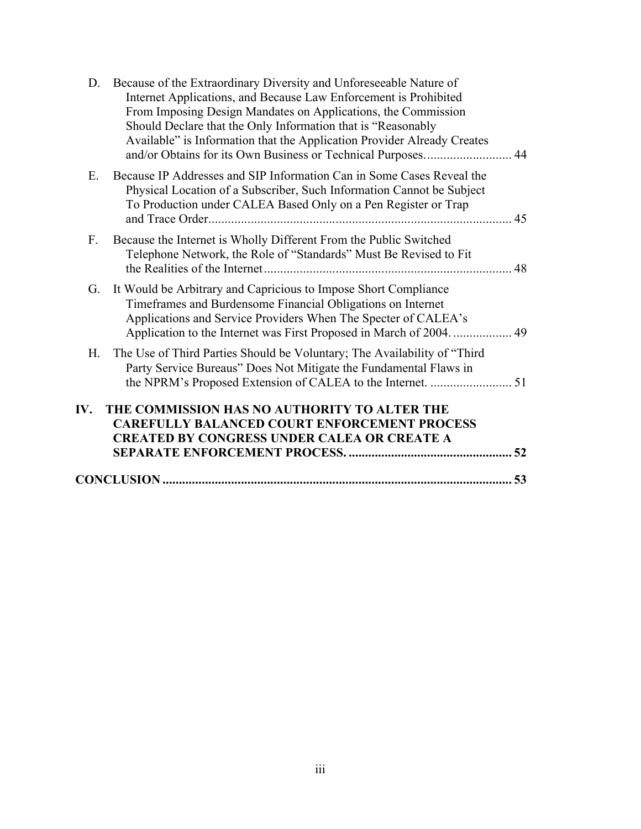| D.          | Because of the Extraordinary Diversity and Unforeseeable Nature of                                                                      |     |
|-------------|-----------------------------------------------------------------------------------------------------------------------------------------|-----|
|             | Internet Applications, and Because Law Enforcement is Prohibited                                                                        |     |
|             | From Imposing Design Mandates on Applications, the Commission                                                                           |     |
|             | Should Declare that the Only Information that is "Reasonably<br>Available" is Information that the Application Provider Already Creates |     |
|             | and/or Obtains for its Own Business or Technical Purposes 44                                                                            |     |
| Ε.          | Because IP Addresses and SIP Information Can in Some Cases Reveal the                                                                   |     |
|             | Physical Location of a Subscriber, Such Information Cannot be Subject                                                                   |     |
|             | To Production under CALEA Based Only on a Pen Register or Trap                                                                          | 45  |
| $F_{\cdot}$ | Because the Internet is Wholly Different From the Public Switched                                                                       |     |
|             | Telephone Network, the Role of "Standards" Must Be Revised to Fit                                                                       |     |
|             |                                                                                                                                         | 48  |
| G.          | It Would be Arbitrary and Capricious to Impose Short Compliance                                                                         |     |
|             | Timeframes and Burdensome Financial Obligations on Internet                                                                             |     |
|             | Applications and Service Providers When The Specter of CALEA's                                                                          |     |
|             |                                                                                                                                         |     |
| H.          | The Use of Third Parties Should be Voluntary; The Availability of "Third"                                                               |     |
|             | Party Service Bureaus" Does Not Mitigate the Fundamental Flaws in                                                                       |     |
|             |                                                                                                                                         |     |
| IV.         | THE COMMISSION HAS NO AUTHORITY TO ALTER THE                                                                                            |     |
|             | <b>CAREFULLY BALANCED COURT ENFORCEMENT PROCESS</b>                                                                                     |     |
|             | <b>CREATED BY CONGRESS UNDER CALEA OR CREATE A</b>                                                                                      |     |
|             |                                                                                                                                         |     |
|             |                                                                                                                                         | .53 |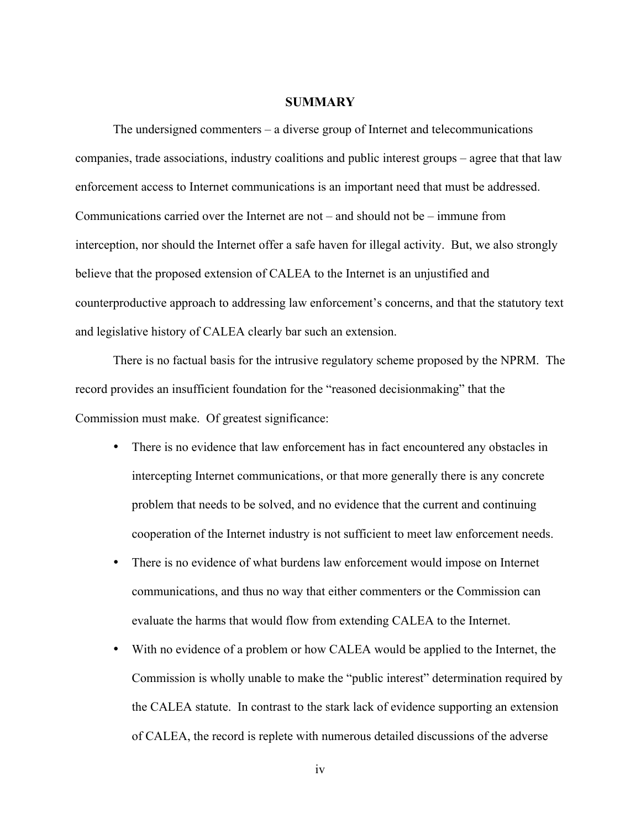#### **SUMMARY**

The undersigned commenters – a diverse group of Internet and telecommunications companies, trade associations, industry coalitions and public interest groups – agree that that law enforcement access to Internet communications is an important need that must be addressed. Communications carried over the Internet are not – and should not be – immune from interception, nor should the Internet offer a safe haven for illegal activity. But, we also strongly believe that the proposed extension of CALEA to the Internet is an unjustified and counterproductive approach to addressing law enforcement's concerns, and that the statutory text and legislative history of CALEA clearly bar such an extension.

There is no factual basis for the intrusive regulatory scheme proposed by the NPRM. The record provides an insufficient foundation for the "reasoned decisionmaking" that the Commission must make. Of greatest significance:

- There is no evidence that law enforcement has in fact encountered any obstacles in intercepting Internet communications, or that more generally there is any concrete problem that needs to be solved, and no evidence that the current and continuing cooperation of the Internet industry is not sufficient to meet law enforcement needs.
- There is no evidence of what burdens law enforcement would impose on Internet communications, and thus no way that either commenters or the Commission can evaluate the harms that would flow from extending CALEA to the Internet.
- With no evidence of a problem or how CALEA would be applied to the Internet, the Commission is wholly unable to make the "public interest" determination required by the CALEA statute. In contrast to the stark lack of evidence supporting an extension of CALEA, the record is replete with numerous detailed discussions of the adverse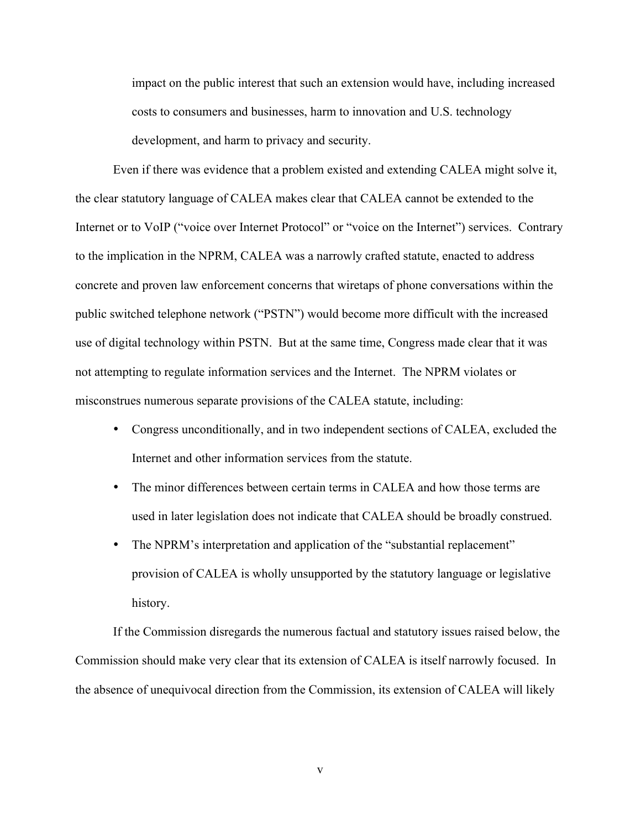impact on the public interest that such an extension would have, including increased costs to consumers and businesses, harm to innovation and U.S. technology development, and harm to privacy and security.

Even if there was evidence that a problem existed and extending CALEA might solve it, the clear statutory language of CALEA makes clear that CALEA cannot be extended to the Internet or to VoIP ("voice over Internet Protocol" or "voice on the Internet") services. Contrary to the implication in the NPRM, CALEA was a narrowly crafted statute, enacted to address concrete and proven law enforcement concerns that wiretaps of phone conversations within the public switched telephone network ("PSTN") would become more difficult with the increased use of digital technology within PSTN. But at the same time, Congress made clear that it was not attempting to regulate information services and the Internet. The NPRM violates or misconstrues numerous separate provisions of the CALEA statute, including:

- Congress unconditionally, and in two independent sections of CALEA, excluded the Internet and other information services from the statute.
- The minor differences between certain terms in CALEA and how those terms are used in later legislation does not indicate that CALEA should be broadly construed.
- The NPRM's interpretation and application of the "substantial replacement" provision of CALEA is wholly unsupported by the statutory language or legislative history.

If the Commission disregards the numerous factual and statutory issues raised below, the Commission should make very clear that its extension of CALEA is itself narrowly focused. In the absence of unequivocal direction from the Commission, its extension of CALEA will likely

v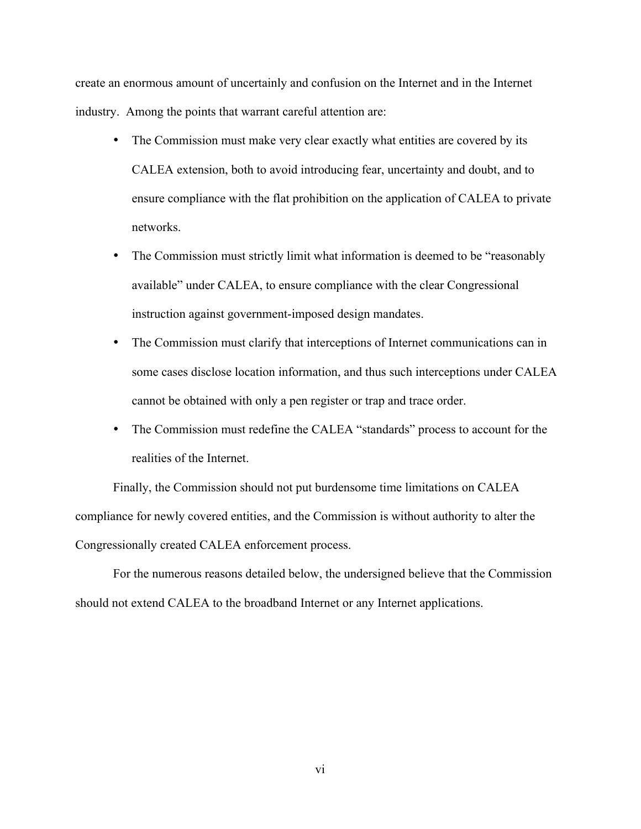create an enormous amount of uncertainly and confusion on the Internet and in the Internet industry. Among the points that warrant careful attention are:

- The Commission must make very clear exactly what entities are covered by its CALEA extension, both to avoid introducing fear, uncertainty and doubt, and to ensure compliance with the flat prohibition on the application of CALEA to private networks.
- The Commission must strictly limit what information is deemed to be "reasonably" available" under CALEA, to ensure compliance with the clear Congressional instruction against government-imposed design mandates.
- The Commission must clarify that interceptions of Internet communications can in some cases disclose location information, and thus such interceptions under CALEA cannot be obtained with only a pen register or trap and trace order.
- The Commission must redefine the CALEA "standards" process to account for the realities of the Internet.

Finally, the Commission should not put burdensome time limitations on CALEA compliance for newly covered entities, and the Commission is without authority to alter the Congressionally created CALEA enforcement process.

For the numerous reasons detailed below, the undersigned believe that the Commission should not extend CALEA to the broadband Internet or any Internet applications.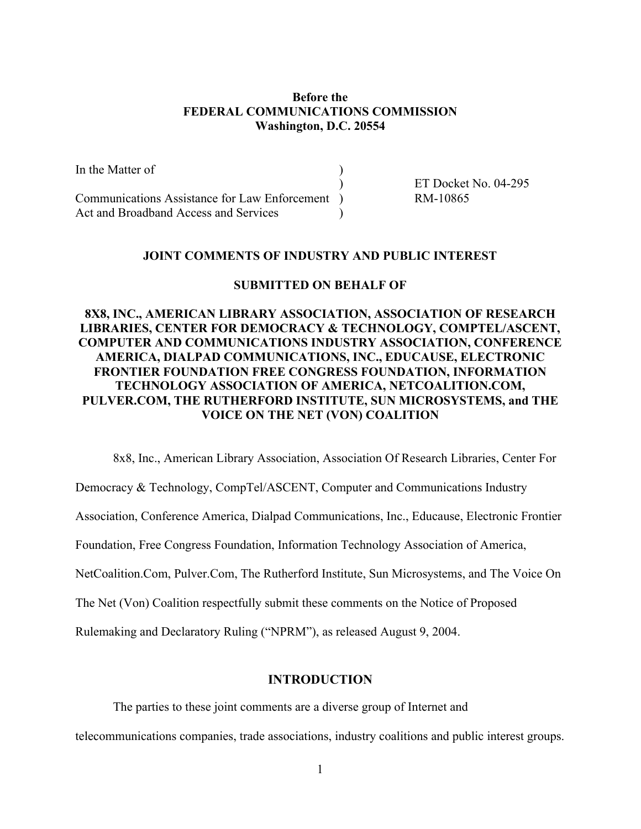### Before the FEDERAL COMMUNICATIONS COMMISSION Washington, D.C. 20554

In the Matter of ) ET Docket No. 04-295 Communications Assistance for Law Enforcement ) RM-10865 Act and Broadband Access and Services

#### JOINT COMMENTS OF INDUSTRY AND PUBLIC INTEREST

#### SUBMITTED ON BEHALF OF

### 8X8, INC., AMERICAN LIBRARY ASSOCIATION, ASSOCIATION OF RESEARCH LIBRARIES, CENTER FOR DEMOCRACY & TECHNOLOGY, COMPTEL/ASCENT, COMPUTER AND COMMUNICATIONS INDUSTRY ASSOCIATION, CONFERENCE AMERICA, DIALPAD COMMUNICATIONS, INC., EDUCAUSE, ELECTRONIC FRONTIER FOUNDATION FREE CONGRESS FOUNDATION, INFORMATION TECHNOLOGY ASSOCIATION OF AMERICA, NETCOALITION.COM, PULVER.COM, THE RUTHERFORD INSTITUTE, SUN MICROSYSTEMS, and THE VOICE ON THE NET (VON) COALITION

8x8, Inc., American Library Association, Association Of Research Libraries, Center For

Democracy & Technology, CompTel/ASCENT, Computer and Communications Industry

Association, Conference America, Dialpad Communications, Inc., Educause, Electronic Frontier

Foundation, Free Congress Foundation, Information Technology Association of America,

NetCoalition.Com, Pulver.Com, The Rutherford Institute, Sun Microsystems, and The Voice On

The Net (Von) Coalition respectfully submit these comments on the Notice of Proposed

Rulemaking and Declaratory Ruling ("NPRM"), as released August 9, 2004.

### INTRODUCTION

The parties to these joint comments are a diverse group of Internet and telecommunications companies, trade associations, industry coalitions and public interest groups.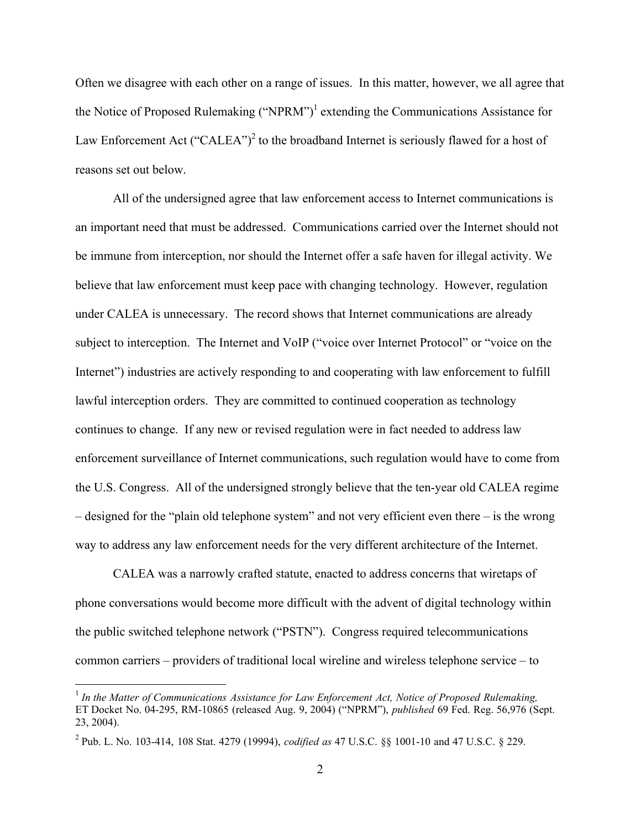Often we disagree with each other on a range of issues. In this matter, however, we all agree that the Notice of Proposed Rulemaking ("NPRM")<sup>1</sup> extending the Communications Assistance for Law Enforcement Act ("CALEA")<sup>2</sup> to the broadband Internet is seriously flawed for a host of reasons set out below.

All of the undersigned agree that law enforcement access to Internet communications is an important need that must be addressed. Communications carried over the Internet should not be immune from interception, nor should the Internet offer a safe haven for illegal activity. We believe that law enforcement must keep pace with changing technology. However, regulation under CALEA is unnecessary. The record shows that Internet communications are already subject to interception. The Internet and VoIP ("voice over Internet Protocol" or "voice on the Internet") industries are actively responding to and cooperating with law enforcement to fulfill lawful interception orders. They are committed to continued cooperation as technology continues to change. If any new or revised regulation were in fact needed to address law enforcement surveillance of Internet communications, such regulation would have to come from the U.S. Congress. All of the undersigned strongly believe that the ten-year old CALEA regime – designed for the "plain old telephone system" and not very efficient even there – is the wrong way to address any law enforcement needs for the very different architecture of the Internet.

CALEA was a narrowly crafted statute, enacted to address concerns that wiretaps of phone conversations would become more difficult with the advent of digital technology within the public switched telephone network ("PSTN"). Congress required telecommunications common carriers – providers of traditional local wireline and wireless telephone service – to

 <sup>1</sup> *In the Matter of Communications Assistance for Law Enforcement Act, Notice of Proposed Rulemaking,* ET Docket No. 04-295, RM-10865 (released Aug. 9, 2004) ("NPRM"), *published* 69 Fed. Reg. 56,976 (Sept. 23, 2004).

<sup>2</sup> Pub. L. No. 103-414, 108 Stat. 4279 (19994), *codified as* 47 U.S.C. §§ 1001-10 and 47 U.S.C. § 229.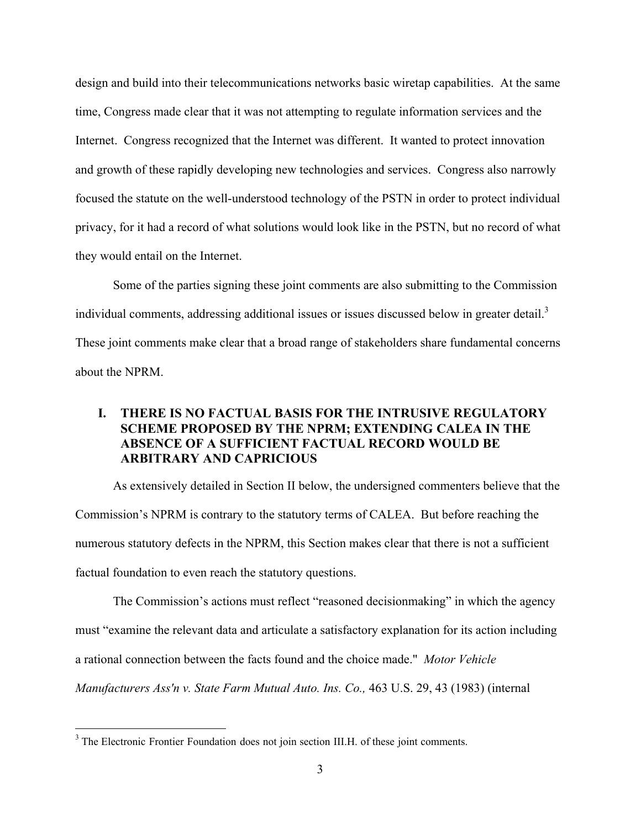design and build into their telecommunications networks basic wiretap capabilities. At the same time, Congress made clear that it was not attempting to regulate information services and the Internet. Congress recognized that the Internet was different. It wanted to protect innovation and growth of these rapidly developing new technologies and services. Congress also narrowly focused the statute on the well-understood technology of the PSTN in order to protect individual privacy, for it had a record of what solutions would look like in the PSTN, but no record of what they would entail on the Internet.

Some of the parties signing these joint comments are also submitting to the Commission individual comments, addressing additional issues or issues discussed below in greater detail.<sup>3</sup> These joint comments make clear that a broad range of stakeholders share fundamental concerns about the NPRM.

## I. THERE IS NO FACTUAL BASIS FOR THE INTRUSIVE REGULATORY SCHEME PROPOSED BY THE NPRM; EXTENDING CALEA IN THE ABSENCE OF A SUFFICIENT FACTUAL RECORD WOULD BE ARBITRARY AND CAPRICIOUS

As extensively detailed in Section II below, the undersigned commenters believe that the Commission's NPRM is contrary to the statutory terms of CALEA. But before reaching the numerous statutory defects in the NPRM, this Section makes clear that there is not a sufficient factual foundation to even reach the statutory questions.

The Commission's actions must reflect "reasoned decisionmaking" in which the agency must "examine the relevant data and articulate a satisfactory explanation for its action including a rational connection between the facts found and the choice made." *Motor Vehicle Manufacturers Ass'n v. State Farm Mutual Auto. Ins. Co.,* 463 U.S. 29, 43 (1983) (internal

<sup>&</sup>lt;sup>2</sup><br>3 <sup>3</sup> The Electronic Frontier Foundation does not join section III.H. of these joint comments.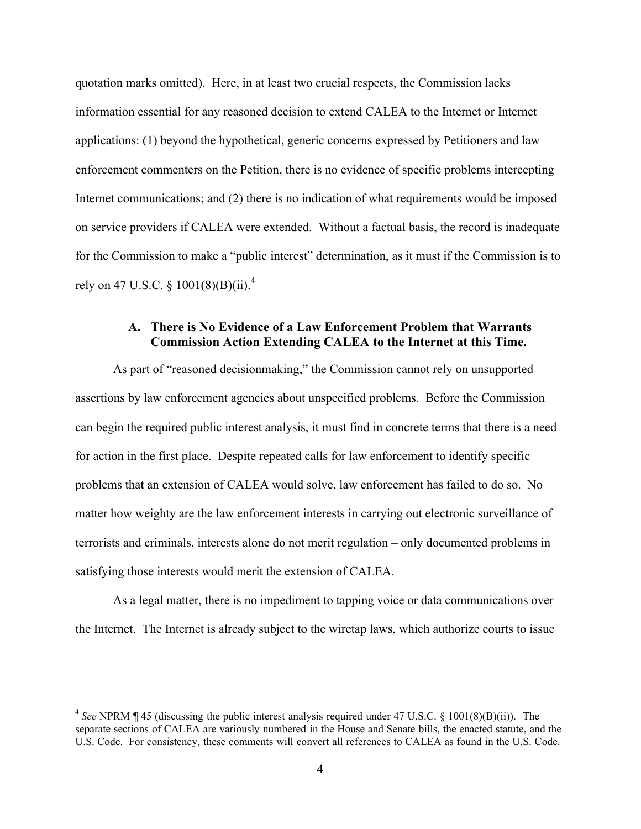quotation marks omitted). Here, in at least two crucial respects, the Commission lacks information essential for any reasoned decision to extend CALEA to the Internet or Internet applications: (1) beyond the hypothetical, generic concerns expressed by Petitioners and law enforcement commenters on the Petition, there is no evidence of specific problems intercepting Internet communications; and (2) there is no indication of what requirements would be imposed on service providers if CALEA were extended. Without a factual basis, the record is inadequate for the Commission to make a "public interest" determination, as it must if the Commission is to rely on 47 U.S.C.  $\frac{$(0.16)}{9.6}$  (B)(ii).<sup>4</sup>

### A. There is No Evidence of a Law Enforcement Problem that Warrants Commission Action Extending CALEA to the Internet at this Time.

As part of "reasoned decisionmaking," the Commission cannot rely on unsupported assertions by law enforcement agencies about unspecified problems. Before the Commission can begin the required public interest analysis, it must find in concrete terms that there is a need for action in the first place. Despite repeated calls for law enforcement to identify specific problems that an extension of CALEA would solve, law enforcement has failed to do so. No matter how weighty are the law enforcement interests in carrying out electronic surveillance of terrorists and criminals, interests alone do not merit regulation – only documented problems in satisfying those interests would merit the extension of CALEA.

As a legal matter, there is no impediment to tapping voice or data communications over the Internet. The Internet is already subject to the wiretap laws, which authorize courts to issue

 <sup>4</sup> *See* NPRM ¶ 45 (discussing the public interest analysis required under 47 U.S.C. § 1001(8)(B)(ii)). The separate sections of CALEA are variously numbered in the House and Senate bills, the enacted statute, and the U.S. Code. For consistency, these comments will convert all references to CALEA as found in the U.S. Code.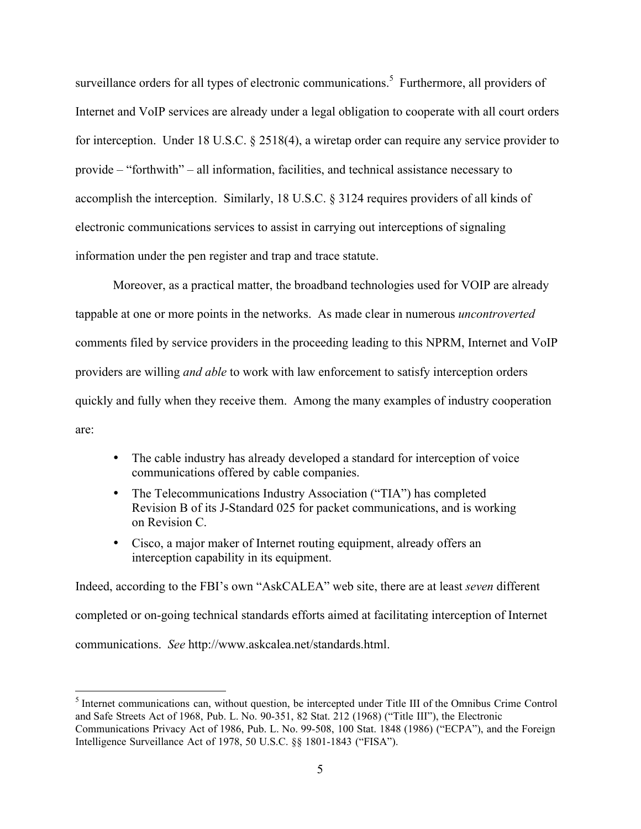surveillance orders for all types of electronic communications.<sup>5</sup> Furthermore, all providers of Internet and VoIP services are already under a legal obligation to cooperate with all court orders for interception. Under 18 U.S.C. § 2518(4), a wiretap order can require any service provider to provide – "forthwith" – all information, facilities, and technical assistance necessary to accomplish the interception. Similarly, 18 U.S.C. § 3124 requires providers of all kinds of electronic communications services to assist in carrying out interceptions of signaling information under the pen register and trap and trace statute.

Moreover, as a practical matter, the broadband technologies used for VOIP are already tappable at one or more points in the networks. As made clear in numerous *uncontroverted* comments filed by service providers in the proceeding leading to this NPRM, Internet and VoIP providers are willing *and able* to work with law enforcement to satisfy interception orders quickly and fully when they receive them. Among the many examples of industry cooperation are:

- The cable industry has already developed a standard for interception of voice communications offered by cable companies.
- The Telecommunications Industry Association ("TIA") has completed Revision B of its J-Standard 025 for packet communications, and is working on Revision C.
- Cisco, a major maker of Internet routing equipment, already offers an interception capability in its equipment.

Indeed, according to the FBI's own "AskCALEA" web site, there are at least *seven* different completed or on-going technical standards efforts aimed at facilitating interception of Internet communications. *See* http://www.askcalea.net/standards.html.

 <sup>5</sup>  $<sup>5</sup>$  Internet communications can, without question, be intercepted under Title III of the Omnibus Crime Control</sup> and Safe Streets Act of 1968, Pub. L. No. 90-351, 82 Stat. 212 (1968) ("Title III"), the Electronic Communications Privacy Act of 1986, Pub. L. No. 99-508, 100 Stat. 1848 (1986) ("ECPA"), and the Foreign Intelligence Surveillance Act of 1978, 50 U.S.C. §§ 1801-1843 ("FISA").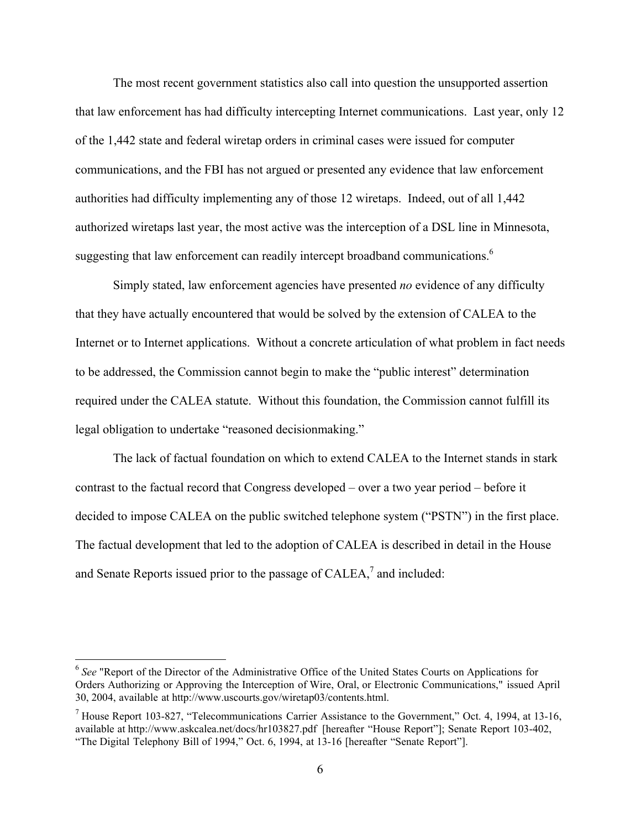The most recent government statistics also call into question the unsupported assertion that law enforcement has had difficulty intercepting Internet communications. Last year, only 12 of the 1,442 state and federal wiretap orders in criminal cases were issued for computer communications, and the FBI has not argued or presented any evidence that law enforcement authorities had difficulty implementing any of those 12 wiretaps. Indeed, out of all 1,442 authorized wiretaps last year, the most active was the interception of a DSL line in Minnesota, suggesting that law enforcement can readily intercept broadband communications.<sup>6</sup>

Simply stated, law enforcement agencies have presented *no* evidence of any difficulty that they have actually encountered that would be solved by the extension of CALEA to the Internet or to Internet applications. Without a concrete articulation of what problem in fact needs to be addressed, the Commission cannot begin to make the "public interest" determination required under the CALEA statute. Without this foundation, the Commission cannot fulfill its legal obligation to undertake "reasoned decisionmaking."

The lack of factual foundation on which to extend CALEA to the Internet stands in stark contrast to the factual record that Congress developed – over a two year period – before it decided to impose CALEA on the public switched telephone system ("PSTN") in the first place. The factual development that led to the adoption of CALEA is described in detail in the House and Senate Reports issued prior to the passage of CALEA, $^7$  and included:

<sup>&</sup>lt;sup>6</sup> See "Report of the Director of the Administrative Office of the United States Courts on Applications for Orders Authorizing or Approving the Interception of Wire, Oral, or Electronic Communications," issued April 30, 2004, available at http://www.uscourts.gov/wiretap03/contents.html.

<sup>&</sup>lt;sup>7</sup> House Report 103-827, "Telecommunications Carrier Assistance to the Government," Oct. 4, 1994, at 13-16, available at http://www.askcalea.net/docs/hr103827.pdf [hereafter "House Report"]; Senate Report 103-402, "The Digital Telephony Bill of 1994," Oct. 6, 1994, at 13-16 [hereafter "Senate Report"].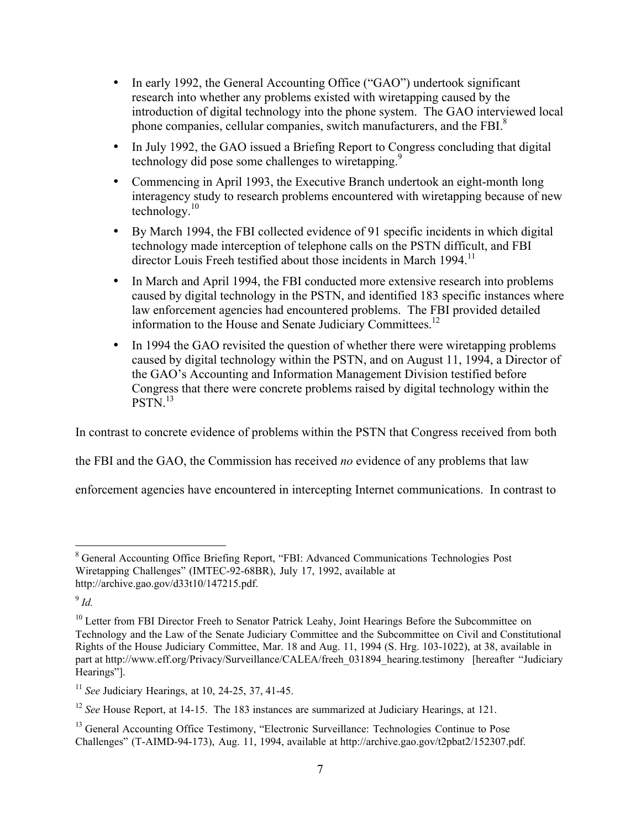- In early 1992, the General Accounting Office ("GAO") undertook significant research into whether any problems existed with wiretapping caused by the introduction of digital technology into the phone system. The GAO interviewed local phone companies, cellular companies, switch manufacturers, and the FBI.<sup>8</sup>
- In July 1992, the GAO issued a Briefing Report to Congress concluding that digital technology did pose some challenges to wiretapping.<sup>9</sup>
- Commencing in April 1993, the Executive Branch undertook an eight-month long interagency study to research problems encountered with wiretapping because of new technology.<sup>10</sup>
- By March 1994, the FBI collected evidence of 91 specific incidents in which digital technology made interception of telephone calls on the PSTN difficult, and FBI director Louis Freeh testified about those incidents in March 1994.<sup>11</sup>
- In March and April 1994, the FBI conducted more extensive research into problems caused by digital technology in the PSTN, and identified 183 specific instances where law enforcement agencies had encountered problems. The FBI provided detailed information to the House and Senate Judiciary Committees.<sup>12</sup>
- In 1994 the GAO revisited the question of whether there were wiretapping problems caused by digital technology within the PSTN, and on August 11, 1994, a Director of the GAO's Accounting and Information Management Division testified before Congress that there were concrete problems raised by digital technology within the PSTN.<sup>13</sup>

In contrast to concrete evidence of problems within the PSTN that Congress received from both

the FBI and the GAO, the Commission has received *no* evidence of any problems that law

enforcement agencies have encountered in intercepting Internet communications. In contrast to

 <sup>8</sup> General Accounting Office Briefing Report, "FBI: Advanced Communications Technologies Post Wiretapping Challenges" (IMTEC-92-68BR), July 17, 1992, available at http://archive.gao.gov/d33t10/147215.pdf.

<sup>9</sup> *Id.*

<sup>&</sup>lt;sup>10</sup> Letter from FBI Director Freeh to Senator Patrick Leahy, Joint Hearings Before the Subcommittee on Technology and the Law of the Senate Judiciary Committee and the Subcommittee on Civil and Constitutional Rights of the House Judiciary Committee, Mar. 18 and Aug. 11, 1994 (S. Hrg. 103-1022), at 38, available in part at http://www.eff.org/Privacy/Surveillance/CALEA/freeh\_031894\_hearing.testimony [hereafter "Judiciary Hearings"].

<sup>11</sup> *See* Judiciary Hearings, at 10, 24-25, 37, 41-45.

<sup>12</sup> *See* House Report, at 14-15. The 183 instances are summarized at Judiciary Hearings, at 121.

<sup>&</sup>lt;sup>13</sup> General Accounting Office Testimony, "Electronic Surveillance: Technologies Continue to Pose Challenges" (T-AIMD-94-173), Aug. 11, 1994, available at http://archive.gao.gov/t2pbat2/152307.pdf.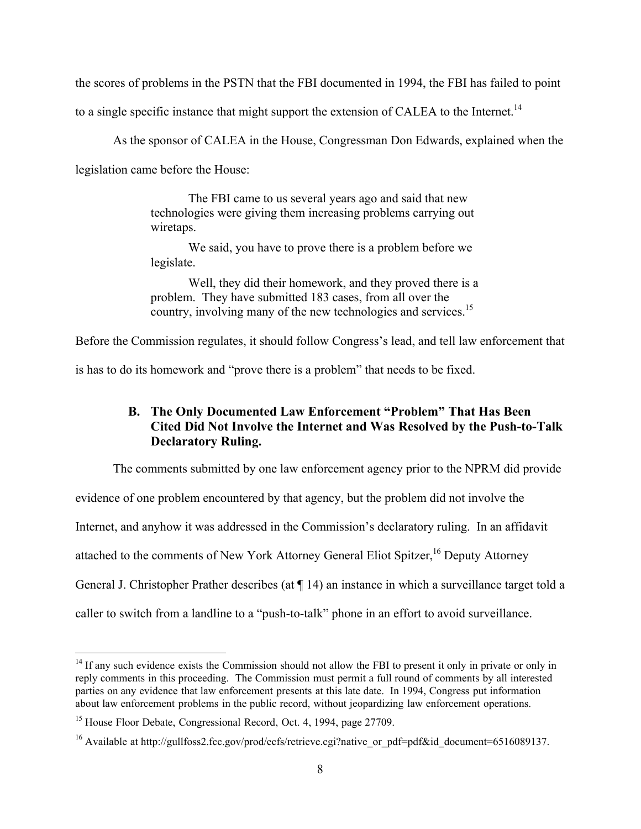the scores of problems in the PSTN that the FBI documented in 1994, the FBI has failed to point

to a single specific instance that might support the extension of CALEA to the Internet.<sup>14</sup>

As the sponsor of CALEA in the House, Congressman Don Edwards, explained when the

legislation came before the House:

The FBI came to us several years ago and said that new technologies were giving them increasing problems carrying out wiretaps.

We said, you have to prove there is a problem before we legislate.

Well, they did their homework, and they proved there is a problem. They have submitted 183 cases, from all over the country, involving many of the new technologies and services.<sup>15</sup>

Before the Commission regulates, it should follow Congress's lead, and tell law enforcement that

is has to do its homework and "prove there is a problem" that needs to be fixed.

## B. The Only Documented Law Enforcement "Problem" That Has Been Cited Did Not Involve the Internet and Was Resolved by the Push-to-Talk Declaratory Ruling.

The comments submitted by one law enforcement agency prior to the NPRM did provide evidence of one problem encountered by that agency, but the problem did not involve the Internet, and anyhow it was addressed in the Commission's declaratory ruling. In an affidavit attached to the comments of New York Attorney General Eliot Spitzer,<sup>16</sup> Deputy Attorney General J. Christopher Prather describes (at ¶ 14) an instance in which a surveillance target told a caller to switch from a landline to a "push-to-talk" phone in an effort to avoid surveillance.

<sup>&</sup>lt;sup>14</sup> If any such evidence exists the Commission should not allow the FBI to present it only in private or only in reply comments in this proceeding. The Commission must permit a full round of comments by all interested parties on any evidence that law enforcement presents at this late date. In 1994, Congress put information about law enforcement problems in the public record, without jeopardizing law enforcement operations.

<sup>&</sup>lt;sup>15</sup> House Floor Debate, Congressional Record, Oct. 4, 1994, page 27709.

<sup>&</sup>lt;sup>16</sup> Available at http://gullfoss2.fcc.gov/prod/ecfs/retrieve.cgi?native\_or\_pdf=pdf&id\_document=6516089137.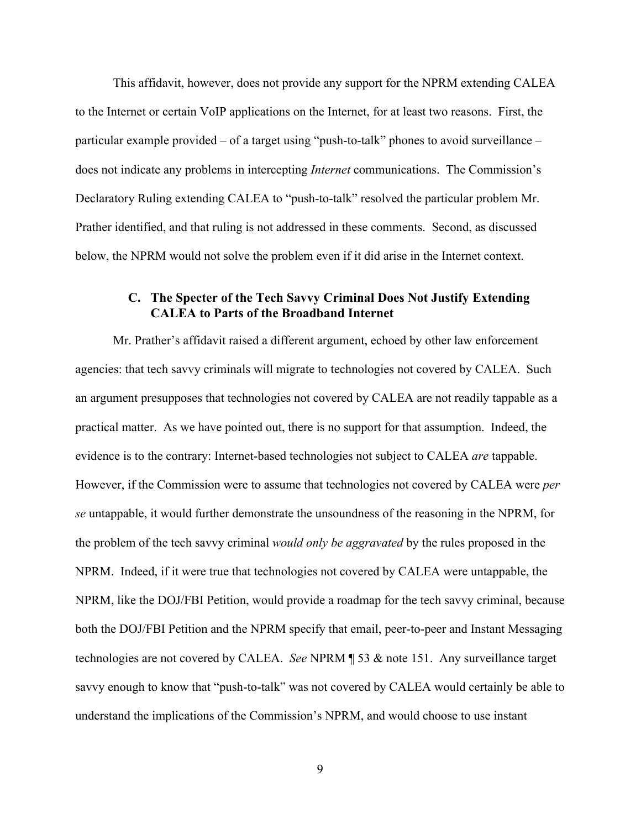This affidavit, however, does not provide any support for the NPRM extending CALEA to the Internet or certain VoIP applications on the Internet, for at least two reasons. First, the particular example provided – of a target using "push-to-talk" phones to avoid surveillance – does not indicate any problems in intercepting *Internet* communications. The Commission's Declaratory Ruling extending CALEA to "push-to-talk" resolved the particular problem Mr. Prather identified, and that ruling is not addressed in these comments. Second, as discussed below, the NPRM would not solve the problem even if it did arise in the Internet context.

### C. The Specter of the Tech Savvy Criminal Does Not Justify Extending CALEA to Parts of the Broadband Internet

Mr. Prather's affidavit raised a different argument, echoed by other law enforcement agencies: that tech savvy criminals will migrate to technologies not covered by CALEA. Such an argument presupposes that technologies not covered by CALEA are not readily tappable as a practical matter. As we have pointed out, there is no support for that assumption. Indeed, the evidence is to the contrary: Internet-based technologies not subject to CALEA *are* tappable. However, if the Commission were to assume that technologies not covered by CALEA were *per se* untappable, it would further demonstrate the unsoundness of the reasoning in the NPRM, for the problem of the tech savvy criminal *would only be aggravated* by the rules proposed in the NPRM. Indeed, if it were true that technologies not covered by CALEA were untappable, the NPRM, like the DOJ/FBI Petition, would provide a roadmap for the tech savvy criminal, because both the DOJ/FBI Petition and the NPRM specify that email, peer-to-peer and Instant Messaging technologies are not covered by CALEA. *See* NPRM ¶ 53 & note 151. Any surveillance target savvy enough to know that "push-to-talk" was not covered by CALEA would certainly be able to understand the implications of the Commission's NPRM, and would choose to use instant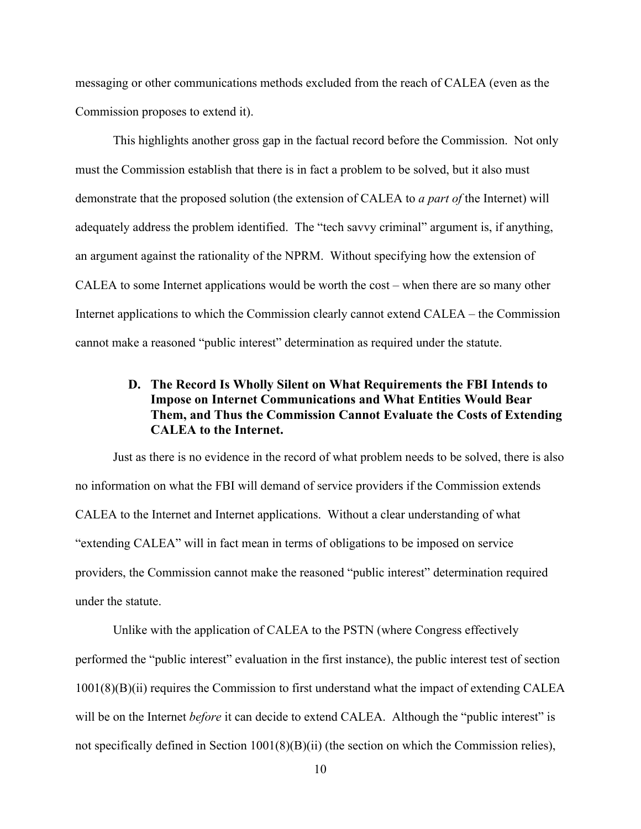messaging or other communications methods excluded from the reach of CALEA (even as the Commission proposes to extend it).

This highlights another gross gap in the factual record before the Commission. Not only must the Commission establish that there is in fact a problem to be solved, but it also must demonstrate that the proposed solution (the extension of CALEA to *a part of* the Internet) will adequately address the problem identified. The "tech savvy criminal" argument is, if anything, an argument against the rationality of the NPRM. Without specifying how the extension of CALEA to some Internet applications would be worth the cost – when there are so many other Internet applications to which the Commission clearly cannot extend CALEA – the Commission cannot make a reasoned "public interest" determination as required under the statute.

## D. The Record Is Wholly Silent on What Requirements the FBI Intends to Impose on Internet Communications and What Entities Would Bear Them, and Thus the Commission Cannot Evaluate the Costs of Extending CALEA to the Internet.

Just as there is no evidence in the record of what problem needs to be solved, there is also no information on what the FBI will demand of service providers if the Commission extends CALEA to the Internet and Internet applications. Without a clear understanding of what "extending CALEA" will in fact mean in terms of obligations to be imposed on service providers, the Commission cannot make the reasoned "public interest" determination required under the statute.

Unlike with the application of CALEA to the PSTN (where Congress effectively performed the "public interest" evaluation in the first instance), the public interest test of section 1001(8)(B)(ii) requires the Commission to first understand what the impact of extending CALEA will be on the Internet *before* it can decide to extend CALEA. Although the "public interest" is not specifically defined in Section 1001(8)(B)(ii) (the section on which the Commission relies),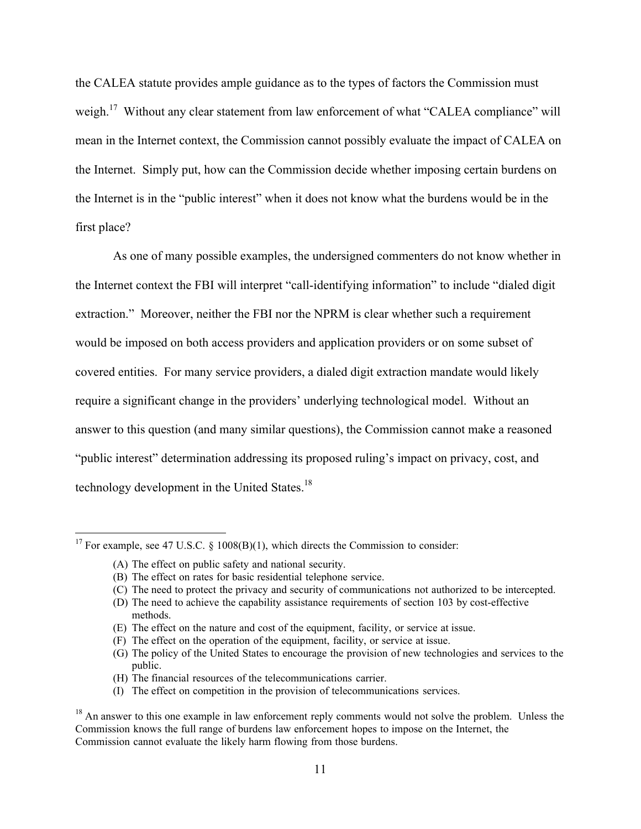the CALEA statute provides ample guidance as to the types of factors the Commission must weigh.<sup>17</sup> Without any clear statement from law enforcement of what "CALEA compliance" will mean in the Internet context, the Commission cannot possibly evaluate the impact of CALEA on the Internet. Simply put, how can the Commission decide whether imposing certain burdens on the Internet is in the "public interest" when it does not know what the burdens would be in the first place?

As one of many possible examples, the undersigned commenters do not know whether in the Internet context the FBI will interpret "call-identifying information" to include "dialed digit extraction." Moreover, neither the FBI nor the NPRM is clear whether such a requirement would be imposed on both access providers and application providers or on some subset of covered entities. For many service providers, a dialed digit extraction mandate would likely require a significant change in the providers' underlying technological model. Without an answer to this question (and many similar questions), the Commission cannot make a reasoned "public interest" determination addressing its proposed ruling's impact on privacy, cost, and technology development in the United States.<sup>18</sup>

- (H) The financial resources of the telecommunications carrier.
- (I) The effect on competition in the provision of telecommunications services.

<sup>&</sup>lt;sup>17</sup> For example, see 47 U.S.C. § 1008(B)(1), which directs the Commission to consider:

<sup>(</sup>A) The effect on public safety and national security.

<sup>(</sup>B) The effect on rates for basic residential telephone service.

<sup>(</sup>C) The need to protect the privacy and security of communications not authorized to be intercepted.

<sup>(</sup>D) The need to achieve the capability assistance requirements of section 103 by cost-effective methods.

<sup>(</sup>E) The effect on the nature and cost of the equipment, facility, or service at issue.

<sup>(</sup>F) The effect on the operation of the equipment, facility, or service at issue.

<sup>(</sup>G) The policy of the United States to encourage the provision of new technologies and services to the public.

 $18$  An answer to this one example in law enforcement reply comments would not solve the problem. Unless the Commission knows the full range of burdens law enforcement hopes to impose on the Internet, the Commission cannot evaluate the likely harm flowing from those burdens.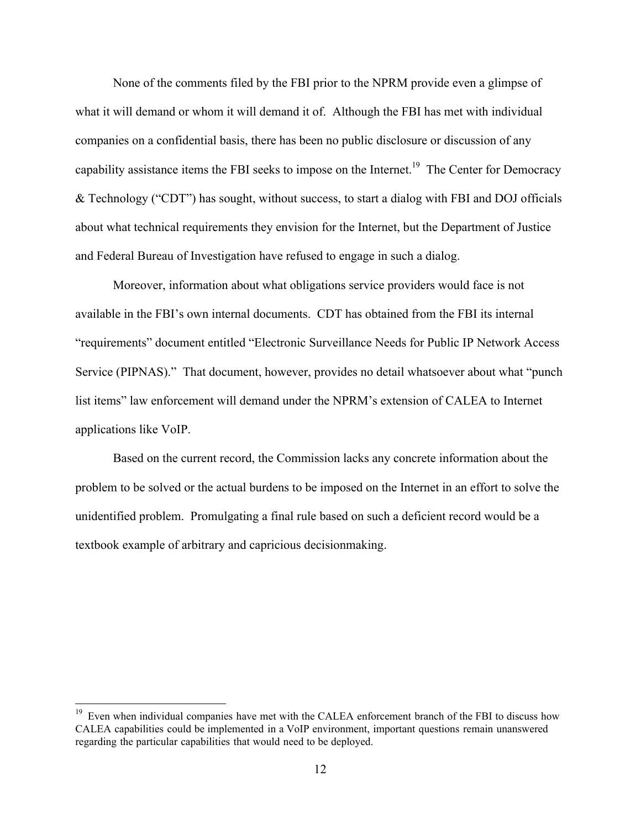None of the comments filed by the FBI prior to the NPRM provide even a glimpse of what it will demand or whom it will demand it of. Although the FBI has met with individual companies on a confidential basis, there has been no public disclosure or discussion of any capability assistance items the FBI seeks to impose on the Internet.<sup>19</sup> The Center for Democracy & Technology ("CDT") has sought, without success, to start a dialog with FBI and DOJ officials about what technical requirements they envision for the Internet, but the Department of Justice and Federal Bureau of Investigation have refused to engage in such a dialog.

Moreover, information about what obligations service providers would face is not available in the FBI's own internal documents. CDT has obtained from the FBI its internal "requirements" document entitled "Electronic Surveillance Needs for Public IP Network Access Service (PIPNAS)." That document, however, provides no detail whatsoever about what "punch list items" law enforcement will demand under the NPRM's extension of CALEA to Internet applications like VoIP.

Based on the current record, the Commission lacks any concrete information about the problem to be solved or the actual burdens to be imposed on the Internet in an effort to solve the unidentified problem. Promulgating a final rule based on such a deficient record would be a textbook example of arbitrary and capricious decisionmaking.

<sup>&</sup>lt;sup>19</sup> Even when individual companies have met with the CALEA enforcement branch of the FBI to discuss how CALEA capabilities could be implemented in a VoIP environment, important questions remain unanswered regarding the particular capabilities that would need to be deployed.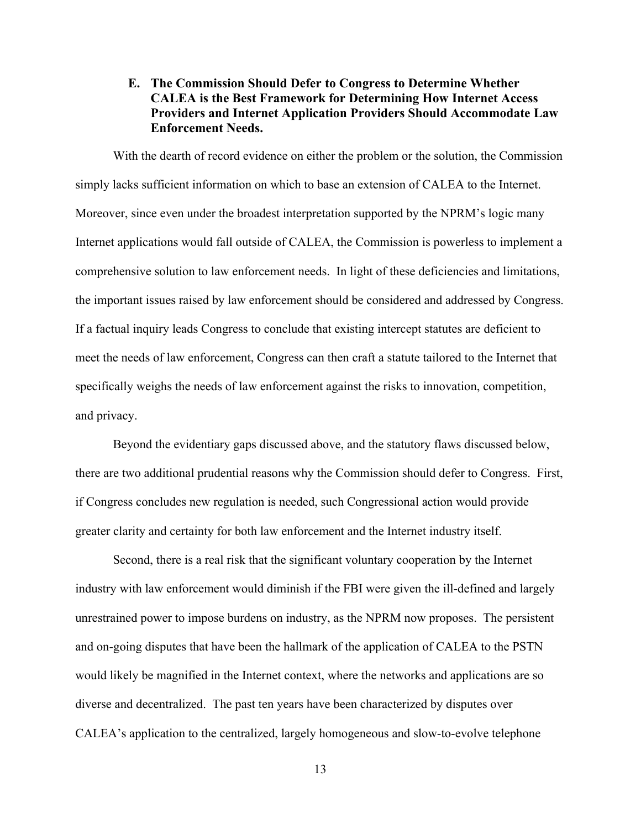## E. The Commission Should Defer to Congress to Determine Whether CALEA is the Best Framework for Determining How Internet Access Providers and Internet Application Providers Should Accommodate Law Enforcement Needs.

With the dearth of record evidence on either the problem or the solution, the Commission simply lacks sufficient information on which to base an extension of CALEA to the Internet. Moreover, since even under the broadest interpretation supported by the NPRM's logic many Internet applications would fall outside of CALEA, the Commission is powerless to implement a comprehensive solution to law enforcement needs. In light of these deficiencies and limitations, the important issues raised by law enforcement should be considered and addressed by Congress. If a factual inquiry leads Congress to conclude that existing intercept statutes are deficient to meet the needs of law enforcement, Congress can then craft a statute tailored to the Internet that specifically weighs the needs of law enforcement against the risks to innovation, competition, and privacy.

Beyond the evidentiary gaps discussed above, and the statutory flaws discussed below, there are two additional prudential reasons why the Commission should defer to Congress. First, if Congress concludes new regulation is needed, such Congressional action would provide greater clarity and certainty for both law enforcement and the Internet industry itself.

Second, there is a real risk that the significant voluntary cooperation by the Internet industry with law enforcement would diminish if the FBI were given the ill-defined and largely unrestrained power to impose burdens on industry, as the NPRM now proposes. The persistent and on-going disputes that have been the hallmark of the application of CALEA to the PSTN would likely be magnified in the Internet context, where the networks and applications are so diverse and decentralized. The past ten years have been characterized by disputes over CALEA's application to the centralized, largely homogeneous and slow-to-evolve telephone

13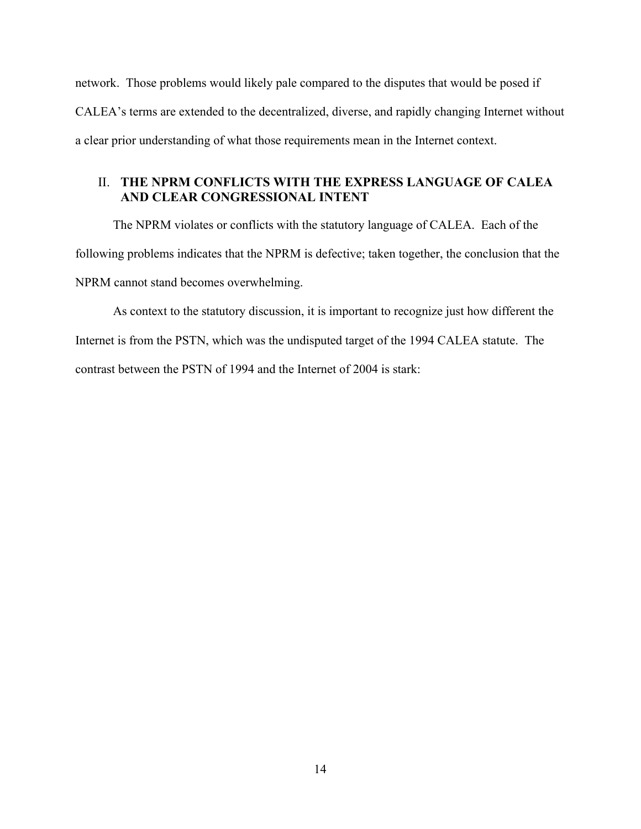network. Those problems would likely pale compared to the disputes that would be posed if CALEA's terms are extended to the decentralized, diverse, and rapidly changing Internet without a clear prior understanding of what those requirements mean in the Internet context.

## II. THE NPRM CONFLICTS WITH THE EXPRESS LANGUAGE OF CALEA AND CLEAR CONGRESSIONAL INTENT

The NPRM violates or conflicts with the statutory language of CALEA. Each of the following problems indicates that the NPRM is defective; taken together, the conclusion that the NPRM cannot stand becomes overwhelming.

As context to the statutory discussion, it is important to recognize just how different the Internet is from the PSTN, which was the undisputed target of the 1994 CALEA statute. The contrast between the PSTN of 1994 and the Internet of 2004 is stark: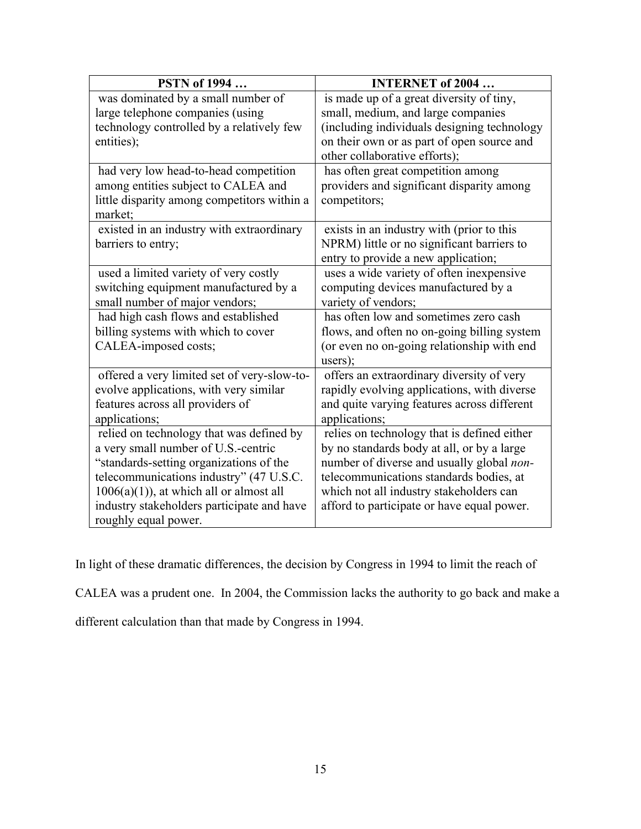| <b>PSTN</b> of 1994                                                                     | <b>INTERNET of 2004</b>                                                               |
|-----------------------------------------------------------------------------------------|---------------------------------------------------------------------------------------|
| was dominated by a small number of                                                      | is made up of a great diversity of tiny,                                              |
| large telephone companies (using                                                        | small, medium, and large companies                                                    |
| technology controlled by a relatively few                                               | (including individuals designing technology                                           |
| entities);                                                                              | on their own or as part of open source and                                            |
|                                                                                         | other collaborative efforts);                                                         |
| had very low head-to-head competition                                                   | has often great competition among                                                     |
| among entities subject to CALEA and                                                     | providers and significant disparity among                                             |
| little disparity among competitors within a                                             | competitors;                                                                          |
| market;                                                                                 |                                                                                       |
| existed in an industry with extraordinary                                               | exists in an industry with (prior to this                                             |
| barriers to entry;                                                                      | NPRM) little or no significant barriers to                                            |
|                                                                                         | entry to provide a new application;                                                   |
| used a limited variety of very costly                                                   | uses a wide variety of often inexpensive                                              |
| switching equipment manufactured by a                                                   | computing devices manufactured by a                                                   |
| small number of major vendors;                                                          | variety of vendors;                                                                   |
| had high cash flows and established                                                     | has often low and sometimes zero cash                                                 |
| billing systems with which to cover                                                     | flows, and often no on-going billing system                                           |
| CALEA-imposed costs;                                                                    | (or even no on-going relationship with end                                            |
|                                                                                         | users);                                                                               |
| offered a very limited set of very-slow-to-                                             | offers an extraordinary diversity of very                                             |
| evolve applications, with very similar                                                  | rapidly evolving applications, with diverse                                           |
| features across all providers of                                                        | and quite varying features across different                                           |
| applications;                                                                           | applications;                                                                         |
| relied on technology that was defined by                                                | relies on technology that is defined either                                           |
| a very small number of U.S.-centric                                                     | by no standards body at all, or by a large                                            |
| "standards-setting organizations of the                                                 | number of diverse and usually global non-                                             |
| telecommunications industry" (47 U.S.C.                                                 | telecommunications standards bodies, at                                               |
| $1006(a)(1)$ , at which all or almost all<br>industry stakeholders participate and have | which not all industry stakeholders can<br>afford to participate or have equal power. |
|                                                                                         |                                                                                       |
| roughly equal power.                                                                    |                                                                                       |

In light of these dramatic differences, the decision by Congress in 1994 to limit the reach of

CALEA was a prudent one. In 2004, the Commission lacks the authority to go back and make a

different calculation than that made by Congress in 1994.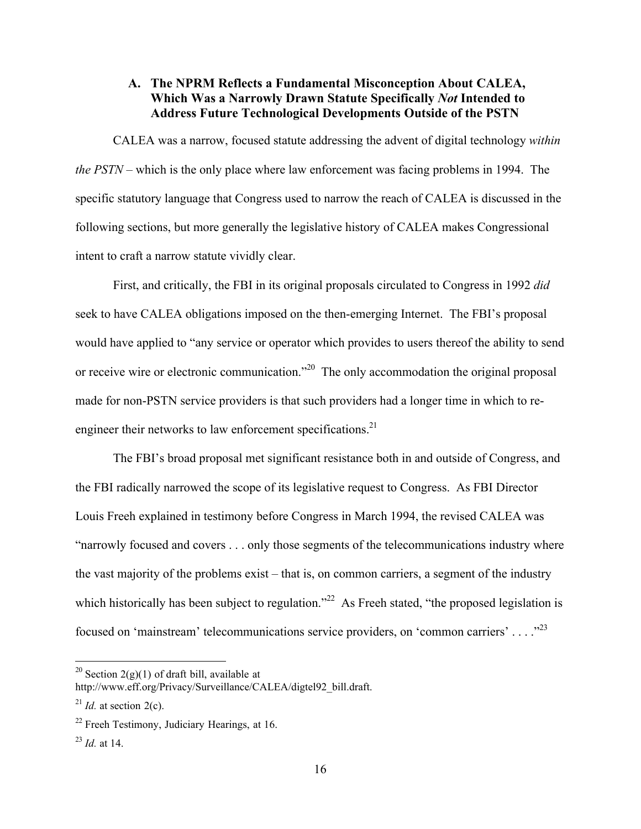## A. The NPRM Reflects a Fundamental Misconception About CALEA, Which Was a Narrowly Drawn Statute Specifically *Not* Intended to Address Future Technological Developments Outside of the PSTN

CALEA was a narrow, focused statute addressing the advent of digital technology *within the PSTN* – which is the only place where law enforcement was facing problems in 1994. The specific statutory language that Congress used to narrow the reach of CALEA is discussed in the following sections, but more generally the legislative history of CALEA makes Congressional intent to craft a narrow statute vividly clear.

First, and critically, the FBI in its original proposals circulated to Congress in 1992 *did* seek to have CALEA obligations imposed on the then-emerging Internet. The FBI's proposal would have applied to "any service or operator which provides to users thereof the ability to send or receive wire or electronic communication."<sup>20</sup> The only accommodation the original proposal made for non-PSTN service providers is that such providers had a longer time in which to reengineer their networks to law enforcement specifications. $21$ 

The FBI's broad proposal met significant resistance both in and outside of Congress, and the FBI radically narrowed the scope of its legislative request to Congress. As FBI Director Louis Freeh explained in testimony before Congress in March 1994, the revised CALEA was "narrowly focused and covers . . . only those segments of the telecommunications industry where the vast majority of the problems exist – that is, on common carriers, a segment of the industry which historically has been subject to regulation."<sup>22</sup> As Freeh stated, "the proposed legislation is focused on 'mainstream' telecommunications service providers, on 'common carriers' . . . ."<sup>23</sup>

<sup>&</sup>lt;sup>20</sup> Section 2(g)(1) of draft bill, available at

http://www.eff.org/Privacy/Surveillance/CALEA/digtel92\_bill.draft.

 $^{21}$  *Id.* at section 2(c).

 $22$  Freeh Testimony, Judiciary Hearings, at 16.

<sup>23</sup> *Id.* at 14.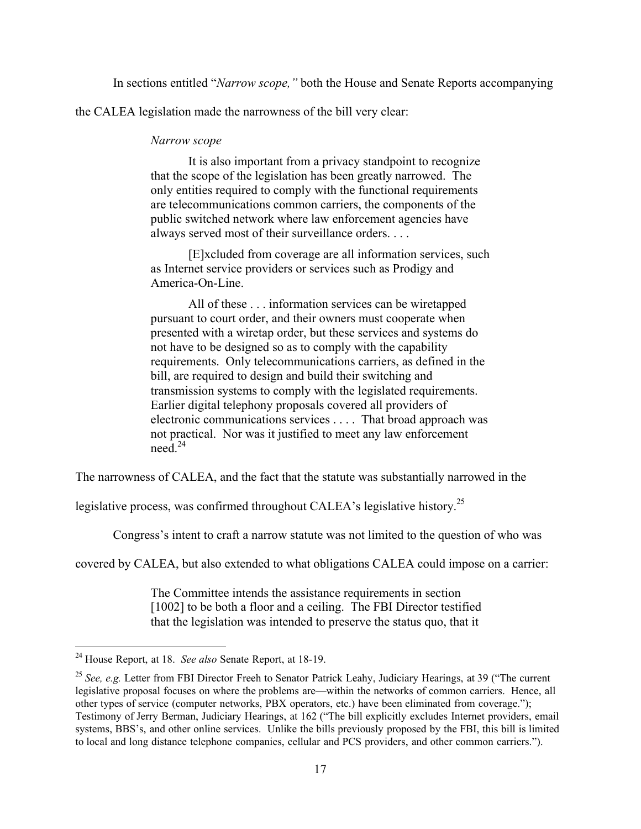In sections entitled "*Narrow scope,"* both the House and Senate Reports accompanying

the CALEA legislation made the narrowness of the bill very clear:

#### *Narrow scope*

It is also important from a privacy standpoint to recognize that the scope of the legislation has been greatly narrowed. The only entities required to comply with the functional requirements are telecommunications common carriers, the components of the public switched network where law enforcement agencies have always served most of their surveillance orders. . . .

[E]xcluded from coverage are all information services, such as Internet service providers or services such as Prodigy and America-On-Line.

All of these . . . information services can be wiretapped pursuant to court order, and their owners must cooperate when presented with a wiretap order, but these services and systems do not have to be designed so as to comply with the capability requirements. Only telecommunications carriers, as defined in the bill, are required to design and build their switching and transmission systems to comply with the legislated requirements. Earlier digital telephony proposals covered all providers of electronic communications services . . . . That broad approach was not practical. Nor was it justified to meet any law enforcement need $^{24}$ 

The narrowness of CALEA, and the fact that the statute was substantially narrowed in the

legislative process, was confirmed throughout CALEA's legislative history.<sup>25</sup>

Congress's intent to craft a narrow statute was not limited to the question of who was

covered by CALEA, but also extended to what obligations CALEA could impose on a carrier:

The Committee intends the assistance requirements in section [1002] to be both a floor and a ceiling. The FBI Director testified that the legislation was intended to preserve the status quo, that it

 <sup>24</sup> House Report, at 18. *See also* Senate Report, at 18-19.

<sup>&</sup>lt;sup>25</sup> See, e.g. Letter from FBI Director Freeh to Senator Patrick Leahy, Judiciary Hearings, at 39 ("The current legislative proposal focuses on where the problems are—within the networks of common carriers. Hence, all other types of service (computer networks, PBX operators, etc.) have been eliminated from coverage."); Testimony of Jerry Berman, Judiciary Hearings, at 162 ("The bill explicitly excludes Internet providers, email systems, BBS's, and other online services. Unlike the bills previously proposed by the FBI, this bill is limited to local and long distance telephone companies, cellular and PCS providers, and other common carriers.").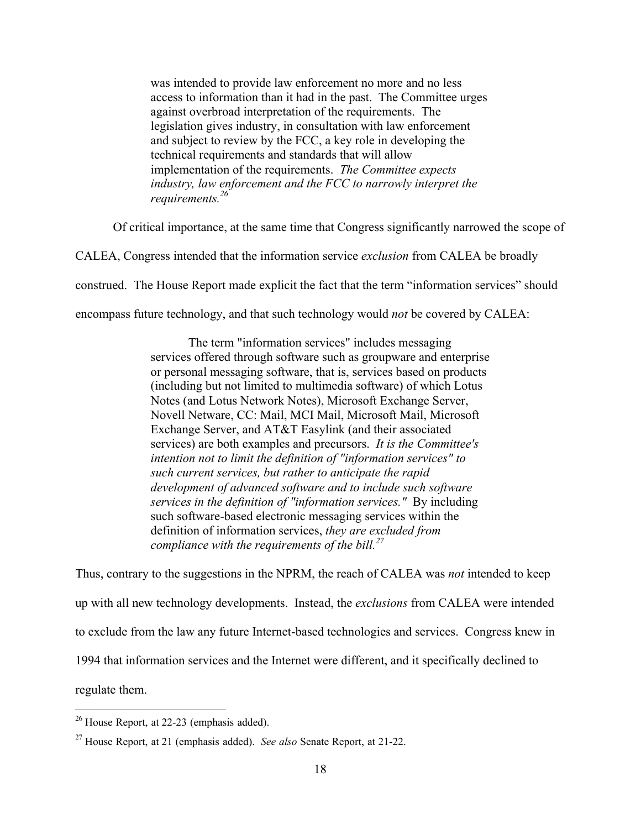was intended to provide law enforcement no more and no less access to information than it had in the past. The Committee urges against overbroad interpretation of the requirements. The legislation gives industry, in consultation with law enforcement and subject to review by the FCC, a key role in developing the technical requirements and standards that will allow implementation of the requirements. *The Committee expects industry, law enforcement and the FCC to narrowly interpret the requirements.26*

Of critical importance, at the same time that Congress significantly narrowed the scope of

CALEA, Congress intended that the information service *exclusion* from CALEA be broadly

construed. The House Report made explicit the fact that the term "information services" should

encompass future technology, and that such technology would *not* be covered by CALEA:

The term "information services" includes messaging services offered through software such as groupware and enterprise or personal messaging software, that is, services based on products (including but not limited to multimedia software) of which Lotus Notes (and Lotus Network Notes), Microsoft Exchange Server, Novell Netware, CC: Mail, MCI Mail, Microsoft Mail, Microsoft Exchange Server, and AT&T Easylink (and their associated services) are both examples and precursors. *It is the Committee's intention not to limit the definition of "information services" to such current services, but rather to anticipate the rapid development of advanced software and to include such software services in the definition of "information services."* By including such software-based electronic messaging services within the definition of information services, *they are excluded from compliance with the requirements of the bill.<sup>27</sup>*

Thus, contrary to the suggestions in the NPRM, the reach of CALEA was *not* intended to keep up with all new technology developments. Instead, the *exclusions* from CALEA were intended to exclude from the law any future Internet-based technologies and services. Congress knew in 1994 that information services and the Internet were different, and it specifically declined to regulate them.

<sup>&</sup>lt;sup>26</sup> House Report, at 22-23 (emphasis added).

<sup>27</sup> House Report, at 21 (emphasis added). *See also* Senate Report, at 21-22.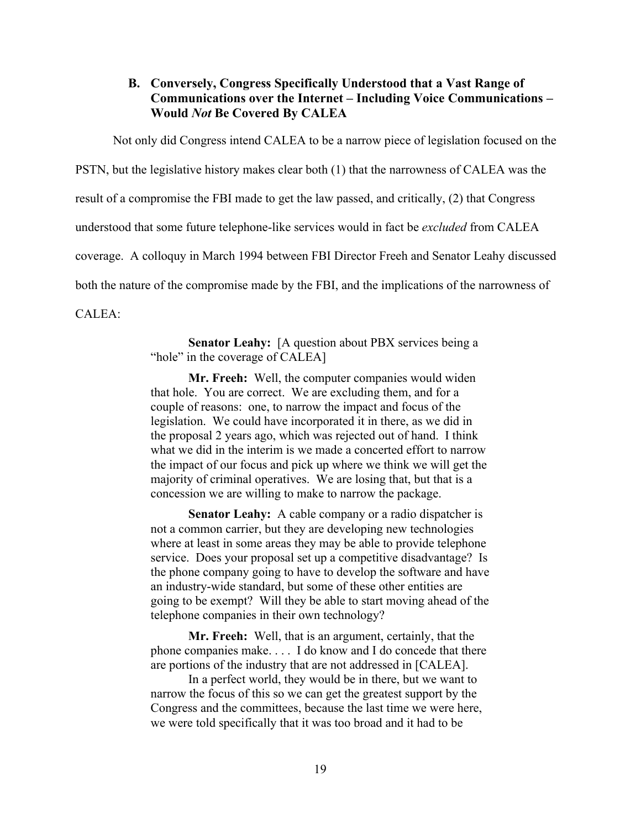### B. Conversely, Congress Specifically Understood that a Vast Range of Communications over the Internet – Including Voice Communications – Would *Not* Be Covered By CALEA

Not only did Congress intend CALEA to be a narrow piece of legislation focused on the

PSTN, but the legislative history makes clear both (1) that the narrowness of CALEA was the

result of a compromise the FBI made to get the law passed, and critically, (2) that Congress

understood that some future telephone-like services would in fact be *excluded* from CALEA

coverage. A colloquy in March 1994 between FBI Director Freeh and Senator Leahy discussed

both the nature of the compromise made by the FBI, and the implications of the narrowness of

CALEA:

Senator Leahy: [A question about PBX services being a "hole" in the coverage of CALEA]

Mr. Freeh: Well, the computer companies would widen that hole. You are correct. We are excluding them, and for a couple of reasons: one, to narrow the impact and focus of the legislation. We could have incorporated it in there, as we did in the proposal 2 years ago, which was rejected out of hand. I think what we did in the interim is we made a concerted effort to narrow the impact of our focus and pick up where we think we will get the majority of criminal operatives. We are losing that, but that is a concession we are willing to make to narrow the package.

Senator Leahy: A cable company or a radio dispatcher is not a common carrier, but they are developing new technologies where at least in some areas they may be able to provide telephone service. Does your proposal set up a competitive disadvantage? Is the phone company going to have to develop the software and have an industry-wide standard, but some of these other entities are going to be exempt? Will they be able to start moving ahead of the telephone companies in their own technology?

Mr. Freeh: Well, that is an argument, certainly, that the phone companies make. . . . I do know and I do concede that there are portions of the industry that are not addressed in [CALEA].

In a perfect world, they would be in there, but we want to narrow the focus of this so we can get the greatest support by the Congress and the committees, because the last time we were here, we were told specifically that it was too broad and it had to be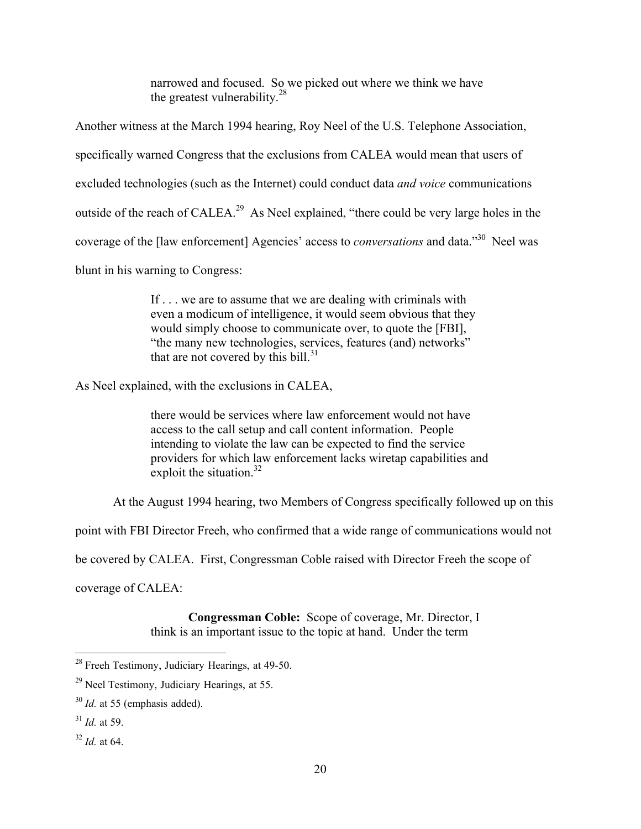narrowed and focused. So we picked out where we think we have the greatest vulnerability. $^{28}$ 

Another witness at the March 1994 hearing, Roy Neel of the U.S. Telephone Association, specifically warned Congress that the exclusions from CALEA would mean that users of excluded technologies (such as the Internet) could conduct data *and voice* communications outside of the reach of CALEA.<sup>29</sup> As Neel explained, "there could be very large holes in the coverage of the [law enforcement] Agencies' access to *conversations* and data."<sup>30</sup> Neel was blunt in his warning to Congress:

> If . . . we are to assume that we are dealing with criminals with even a modicum of intelligence, it would seem obvious that they would simply choose to communicate over, to quote the [FBI], "the many new technologies, services, features (and) networks" that are not covered by this bill. $31$

As Neel explained, with the exclusions in CALEA,

there would be services where law enforcement would not have access to the call setup and call content information. People intending to violate the law can be expected to find the service providers for which law enforcement lacks wiretap capabilities and exploit the situation. $32$ 

At the August 1994 hearing, two Members of Congress specifically followed up on this

point with FBI Director Freeh, who confirmed that a wide range of communications would not

be covered by CALEA. First, Congressman Coble raised with Director Freeh the scope of

coverage of CALEA:

Congressman Coble: Scope of coverage, Mr. Director, I think is an important issue to the topic at hand. Under the term

 $32$  *Id.* at 64.

<sup>&</sup>lt;sup>28</sup> Freeh Testimony, Judiciary Hearings, at 49-50.

<sup>&</sup>lt;sup>29</sup> Neel Testimony, Judiciary Hearings, at 55.

<sup>30</sup> *Id.* at 55 (emphasis added).

<sup>31</sup> *Id.* at 59.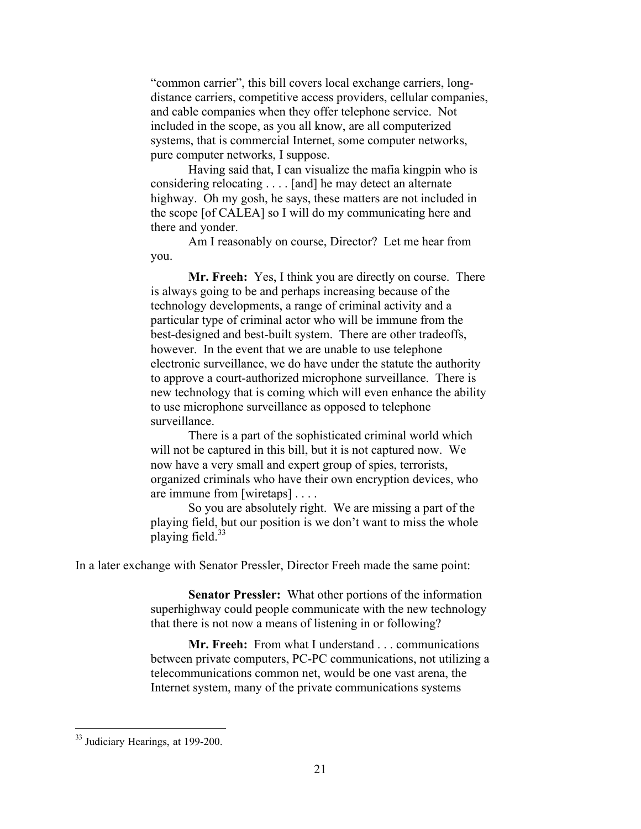"common carrier", this bill covers local exchange carriers, longdistance carriers, competitive access providers, cellular companies, and cable companies when they offer telephone service. Not included in the scope, as you all know, are all computerized systems, that is commercial Internet, some computer networks, pure computer networks, I suppose.

Having said that, I can visualize the mafia kingpin who is considering relocating . . . . [and] he may detect an alternate highway. Oh my gosh, he says, these matters are not included in the scope [of CALEA] so I will do my communicating here and there and yonder.

Am I reasonably on course, Director? Let me hear from you.

Mr. Freeh: Yes, I think you are directly on course. There is always going to be and perhaps increasing because of the technology developments, a range of criminal activity and a particular type of criminal actor who will be immune from the best-designed and best-built system. There are other tradeoffs, however. In the event that we are unable to use telephone electronic surveillance, we do have under the statute the authority to approve a court-authorized microphone surveillance. There is new technology that is coming which will even enhance the ability to use microphone surveillance as opposed to telephone surveillance.

There is a part of the sophisticated criminal world which will not be captured in this bill, but it is not captured now. We now have a very small and expert group of spies, terrorists, organized criminals who have their own encryption devices, who are immune from [wiretaps] . . . .

So you are absolutely right. We are missing a part of the playing field, but our position is we don't want to miss the whole playing field. $33$ 

In a later exchange with Senator Pressler, Director Freeh made the same point:

Senator Pressler: What other portions of the information superhighway could people communicate with the new technology that there is not now a means of listening in or following?

Mr. Freeh: From what I understand . . . communications between private computers, PC-PC communications, not utilizing a telecommunications common net, would be one vast arena, the Internet system, many of the private communications systems

<sup>&</sup>lt;sup>33</sup> Judiciary Hearings, at 199-200.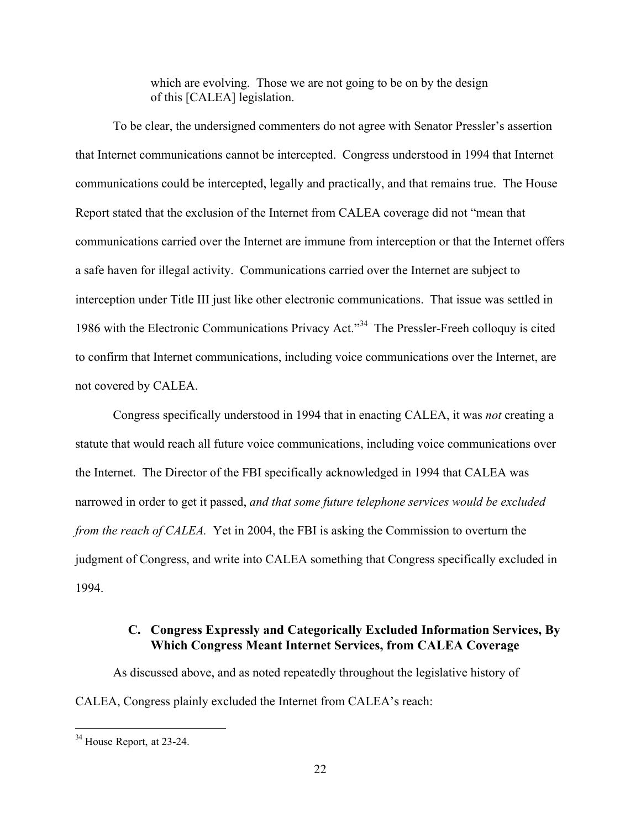which are evolving. Those we are not going to be on by the design of this [CALEA] legislation.

To be clear, the undersigned commenters do not agree with Senator Pressler's assertion that Internet communications cannot be intercepted. Congress understood in 1994 that Internet communications could be intercepted, legally and practically, and that remains true. The House Report stated that the exclusion of the Internet from CALEA coverage did not "mean that communications carried over the Internet are immune from interception or that the Internet offers a safe haven for illegal activity. Communications carried over the Internet are subject to interception under Title III just like other electronic communications. That issue was settled in 1986 with the Electronic Communications Privacy Act."<sup>34</sup> The Pressler-Freeh colloquy is cited to confirm that Internet communications, including voice communications over the Internet, are not covered by CALEA.

Congress specifically understood in 1994 that in enacting CALEA, it was *not* creating a statute that would reach all future voice communications, including voice communications over the Internet. The Director of the FBI specifically acknowledged in 1994 that CALEA was narrowed in order to get it passed, *and that some future telephone services would be excluded from the reach of CALEA.* Yet in 2004, the FBI is asking the Commission to overturn the judgment of Congress, and write into CALEA something that Congress specifically excluded in 1994.

## C. Congress Expressly and Categorically Excluded Information Services, By Which Congress Meant Internet Services, from CALEA Coverage

As discussed above, and as noted repeatedly throughout the legislative history of CALEA, Congress plainly excluded the Internet from CALEA's reach:

<sup>&</sup>lt;sup>34</sup> House Report, at 23-24.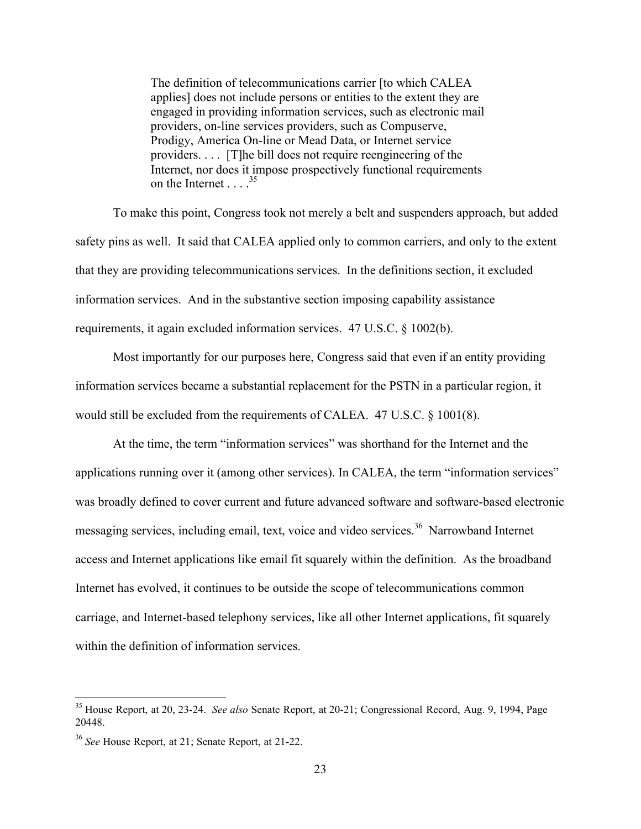The definition of telecommunications carrier [to which CALEA applies] does not include persons or entities to the extent they are engaged in providing information services, such as electronic mail providers, on-line services providers, such as Compuserve, Prodigy, America On-line or Mead Data, or Internet service providers. . . . [T]he bill does not require reengineering of the Internet, nor does it impose prospectively functional requirements on the Internet . . . <sup>35</sup>

To make this point, Congress took not merely a belt and suspenders approach, but added safety pins as well. It said that CALEA applied only to common carriers, and only to the extent that they are providing telecommunications services. In the definitions section, it excluded information services. And in the substantive section imposing capability assistance requirements, it again excluded information services. 47 U.S.C. § 1002(b).

Most importantly for our purposes here, Congress said that even if an entity providing information services became a substantial replacement for the PSTN in a particular region, it would still be excluded from the requirements of CALEA. 47 U.S.C. § 1001(8).

At the time, the term "information services" was shorthand for the Internet and the applications running over it (among other services). In CALEA, the term "information services" was broadly defined to cover current and future advanced software and software-based electronic messaging services, including email, text, voice and video services.<sup>36</sup> Narrowband Internet access and Internet applications like email fit squarely within the definition. As the broadband Internet has evolved, it continues to be outside the scope of telecommunications common carriage, and Internet-based telephony services, like all other Internet applications, fit squarely within the definition of information services.

 <sup>35</sup> House Report, at 20, 23-24. *See also* Senate Report, at 20-21; Congressional Record, Aug. 9, 1994, Page 20448.

<sup>36</sup> *See* House Report, at 21; Senate Report, at 21-22.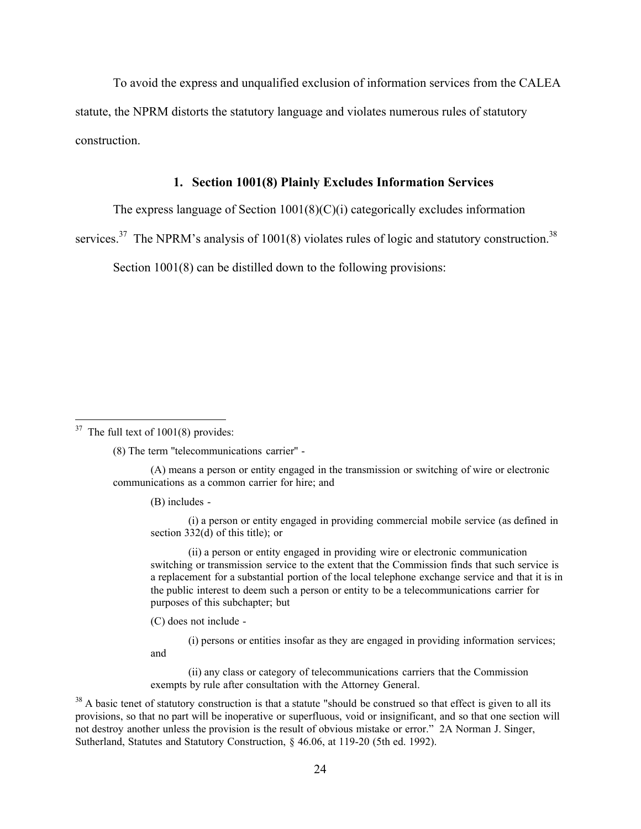To avoid the express and unqualified exclusion of information services from the CALEA statute, the NPRM distorts the statutory language and violates numerous rules of statutory construction.

#### 1. Section 1001(8) Plainly Excludes Information Services

The express language of Section  $1001(8)(C)(i)$  categorically excludes information

services.<sup>37</sup> The NPRM's analysis of 1001(8) violates rules of logic and statutory construction.<sup>38</sup>

Section 1001(8) can be distilled down to the following provisions:

(8) The term ''telecommunications carrier'' -

(A) means a person or entity engaged in the transmission or switching of wire or electronic communications as a common carrier for hire; and

(B) includes -

(i) a person or entity engaged in providing commercial mobile service (as defined in section 332(d) of this title); or

(ii) a person or entity engaged in providing wire or electronic communication switching or transmission service to the extent that the Commission finds that such service is a replacement for a substantial portion of the local telephone exchange service and that it is in the public interest to deem such a person or entity to be a telecommunications carrier for purposes of this subchapter; but

(C) does not include -

and

(i) persons or entities insofar as they are engaged in providing information services;

(ii) any class or category of telecommunications carriers that the Commission exempts by rule after consultation with the Attorney General.

 $38$  A basic tenet of statutory construction is that a statute "should be construed so that effect is given to all its provisions, so that no part will be inoperative or superfluous, void or insignificant, and so that one section will not destroy another unless the provision is the result of obvious mistake or error." 2A Norman J. Singer, Sutherland, Statutes and Statutory Construction, § 46.06, at 119-20 (5th ed. 1992).

 $37$  The full text of 1001(8) provides: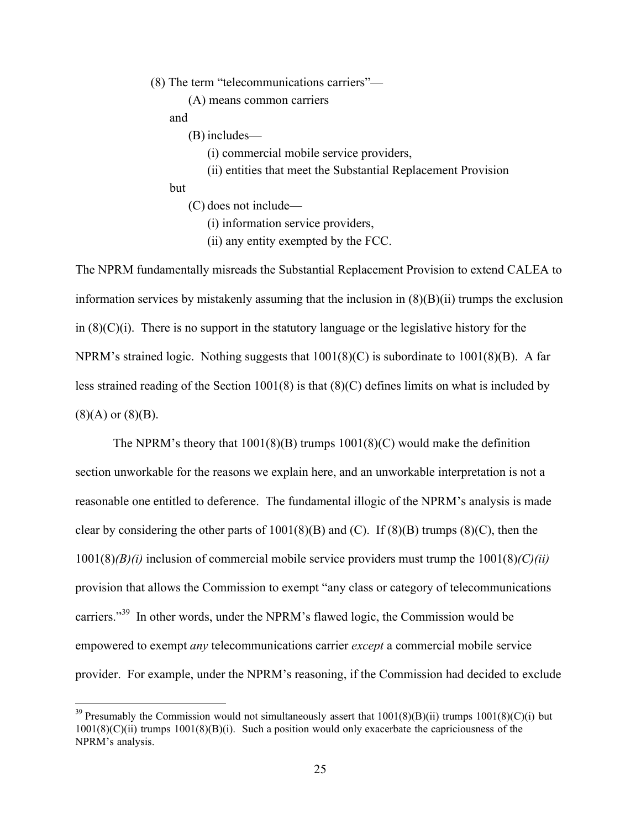(8) The term "telecommunications carriers"—

(A) means common carriers

and

(B) includes—

(i) commercial mobile service providers,

(ii) entities that meet the Substantial Replacement Provision

#### but

(C) does not include—

(i) information service providers,

(ii) any entity exempted by the FCC.

The NPRM fundamentally misreads the Substantial Replacement Provision to extend CALEA to information services by mistakenly assuming that the inclusion in (8)(B)(ii) trumps the exclusion in  $(8)(C)(i)$ . There is no support in the statutory language or the legislative history for the NPRM's strained logic. Nothing suggests that 1001(8)(C) is subordinate to 1001(8)(B). A far less strained reading of the Section 1001(8) is that (8)(C) defines limits on what is included by  $(8)(A)$  or  $(8)(B)$ .

The NPRM's theory that 1001(8)(B) trumps 1001(8)(C) would make the definition section unworkable for the reasons we explain here, and an unworkable interpretation is not a reasonable one entitled to deference. The fundamental illogic of the NPRM's analysis is made clear by considering the other parts of  $1001(8)(B)$  and (C). If  $(8)(B)$  trumps  $(8)(C)$ , then the 1001(8)*(B)(i)* inclusion of commercial mobile service providers must trump the 1001(8)*(C)(ii)* provision that allows the Commission to exempt "any class or category of telecommunications carriers."<sup>39</sup> In other words, under the NPRM's flawed logic, the Commission would be empowered to exempt *any* telecommunications carrier *except* a commercial mobile service provider. For example, under the NPRM's reasoning, if the Commission had decided to exclude

<sup>&</sup>lt;sup>39</sup> Presumably the Commission would not simultaneously assert that  $1001(8)(B)(ii)$  trumps  $1001(8)(C)(i)$  but  $1001(8)(C)(ii)$  trumps  $1001(8)(B)(i)$ . Such a position would only exacerbate the capriciousness of the NPRM's analysis.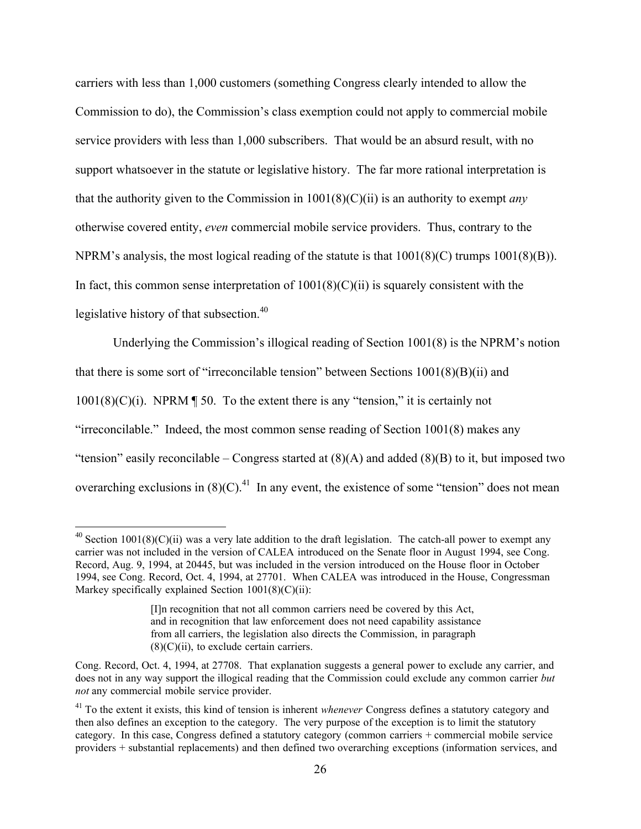carriers with less than 1,000 customers (something Congress clearly intended to allow the Commission to do), the Commission's class exemption could not apply to commercial mobile service providers with less than 1,000 subscribers. That would be an absurd result, with no support whatsoever in the statute or legislative history. The far more rational interpretation is that the authority given to the Commission in 1001(8)(C)(ii) is an authority to exempt *any* otherwise covered entity, *even* commercial mobile service providers. Thus, contrary to the NPRM's analysis, the most logical reading of the statute is that 1001(8)(C) trumps 1001(8)(B)). In fact, this common sense interpretation of  $1001(8)(C)(ii)$  is squarely consistent with the legislative history of that subsection.<sup>40</sup>

Underlying the Commission's illogical reading of Section 1001(8) is the NPRM's notion that there is some sort of "irreconcilable tension" between Sections 1001(8)(B)(ii) and  $1001(8)(C)(i)$ . NPRM  $\P$  50. To the extent there is any "tension," it is certainly not "irreconcilable." Indeed, the most common sense reading of Section 1001(8) makes any "tension" easily reconcilable – Congress started at  $(8)(A)$  and added  $(8)(B)$  to it, but imposed two overarching exclusions in  $(8)(C)$ .<sup>41</sup> In any event, the existence of some "tension" does not mean

<sup>&</sup>lt;sup>40</sup> Section 1001(8)(C)(ii) was a very late addition to the draft legislation. The catch-all power to exempt any carrier was not included in the version of CALEA introduced on the Senate floor in August 1994, see Cong. Record, Aug. 9, 1994, at 20445, but was included in the version introduced on the House floor in October 1994, see Cong. Record, Oct. 4, 1994, at 27701. When CALEA was introduced in the House, Congressman Markey specifically explained Section  $1001(8)(C)(ii)$ :

<sup>[</sup>I]n recognition that not all common carriers need be covered by this Act, and in recognition that law enforcement does not need capability assistance from all carriers, the legislation also directs the Commission, in paragraph  $(8)(C)(ii)$ , to exclude certain carriers.

Cong. Record, Oct. 4, 1994, at 27708. That explanation suggests a general power to exclude any carrier, and does not in any way support the illogical reading that the Commission could exclude any common carrier *but not* any commercial mobile service provider.

<sup>&</sup>lt;sup>41</sup> To the extent it exists, this kind of tension is inherent *whenever* Congress defines a statutory category and then also defines an exception to the category. The very purpose of the exception is to limit the statutory category. In this case, Congress defined a statutory category (common carriers + commercial mobile service providers + substantial replacements) and then defined two overarching exceptions (information services, and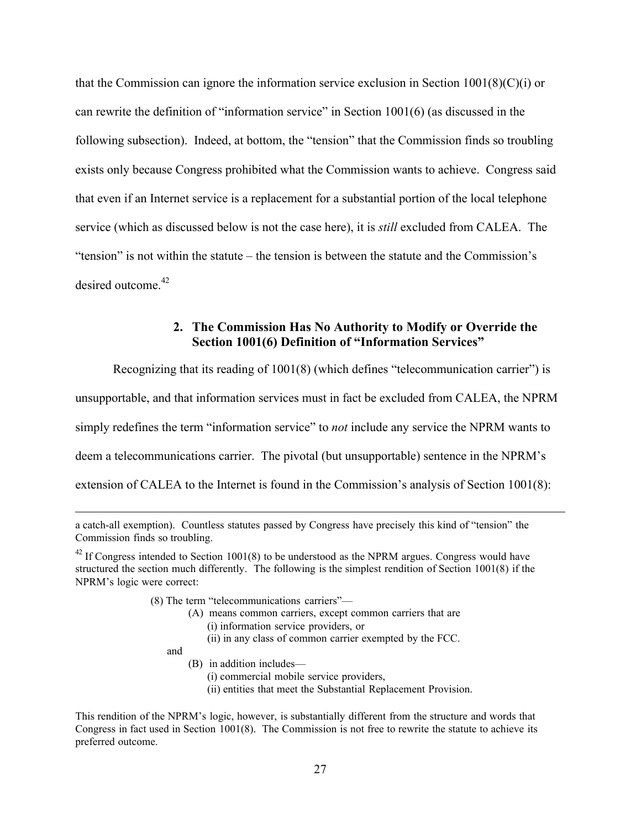that the Commission can ignore the information service exclusion in Section  $1001(8)(C)(i)$  or can rewrite the definition of "information service" in Section 1001(6) (as discussed in the following subsection). Indeed, at bottom, the "tension" that the Commission finds so troubling exists only because Congress prohibited what the Commission wants to achieve. Congress said that even if an Internet service is a replacement for a substantial portion of the local telephone service (which as discussed below is not the case here), it is *still* excluded from CALEA. The "tension" is not within the statute – the tension is between the statute and the Commission's desired outcome  $42$ 

### 2. The Commission Has No Authority to Modify or Override the Section 1001(6) Definition of "Information Services"

Recognizing that its reading of 1001(8) (which defines "telecommunication carrier") is

unsupportable, and that information services must in fact be excluded from CALEA, the NPRM

simply redefines the term "information service" to *not* include any service the NPRM wants to

deem a telecommunications carrier. The pivotal (but unsupportable) sentence in the NPRM's

extension of CALEA to the Internet is found in the Commission's analysis of Section 1001(8):

- (8) The term "telecommunications carriers"—
	- (A) means common carriers, except common carriers that are
		- (i) information service providers, or
		- (ii) in any class of common carrier exempted by the FCC.

and

 $\overline{a}$ 

- (B) in addition includes—
	- (i) commercial mobile service providers,
	- (ii) entities that meet the Substantial Replacement Provision.

This rendition of the NPRM's logic, however, is substantially different from the structure and words that Congress in fact used in Section 1001(8). The Commission is not free to rewrite the statute to achieve its preferred outcome.

a catch-all exemption). Countless statutes passed by Congress have precisely this kind of "tension" the Commission finds so troubling.

 $42$  If Congress intended to Section 1001(8) to be understood as the NPRM argues. Congress would have structured the section much differently. The following is the simplest rendition of Section 1001(8) if the NPRM's logic were correct: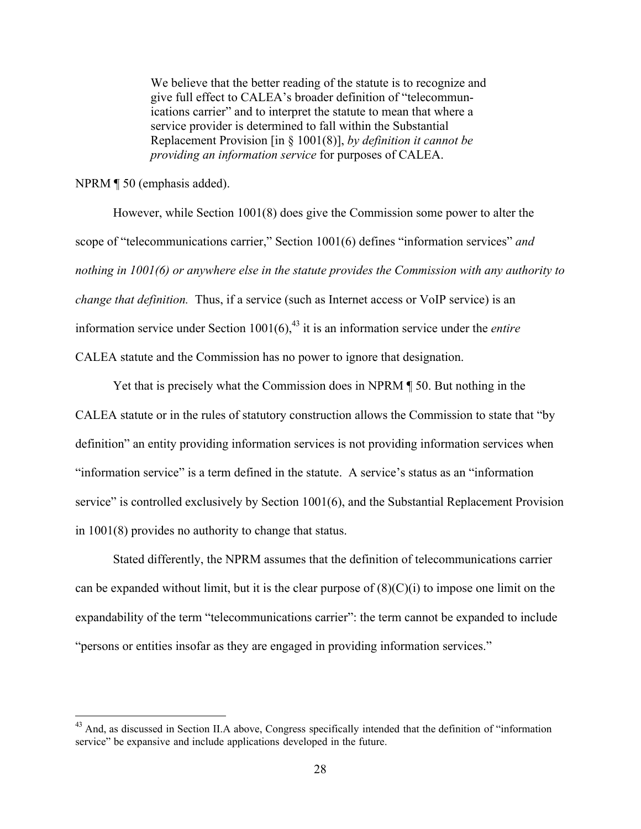We believe that the better reading of the statute is to recognize and give full effect to CALEA's broader definition of "telecommunications carrier" and to interpret the statute to mean that where a service provider is determined to fall within the Substantial Replacement Provision [in § 1001(8)], *by definition it cannot be providing an information service* for purposes of CALEA.

NPRM ¶ 50 (emphasis added).

However, while Section 1001(8) does give the Commission some power to alter the scope of "telecommunications carrier," Section 1001(6) defines "information services" *and nothing in 1001(6) or anywhere else in the statute provides the Commission with any authority to change that definition.* Thus, if a service (such as Internet access or VoIP service) is an information service under Section  $1001(6)$ ,  $43$  it is an information service under the *entire* CALEA statute and the Commission has no power to ignore that designation.

Yet that is precisely what the Commission does in NPRM ¶ 50. But nothing in the CALEA statute or in the rules of statutory construction allows the Commission to state that "by definition" an entity providing information services is not providing information services when "information service" is a term defined in the statute. A service's status as an "information service" is controlled exclusively by Section 1001(6), and the Substantial Replacement Provision in 1001(8) provides no authority to change that status.

Stated differently, the NPRM assumes that the definition of telecommunications carrier can be expanded without limit, but it is the clear purpose of  $(8)(C)(i)$  to impose one limit on the expandability of the term "telecommunications carrier": the term cannot be expanded to include "persons or entities insofar as they are engaged in providing information services."

<sup>&</sup>lt;sup>43</sup> And, as discussed in Section II.A above, Congress specifically intended that the definition of "information" service" be expansive and include applications developed in the future.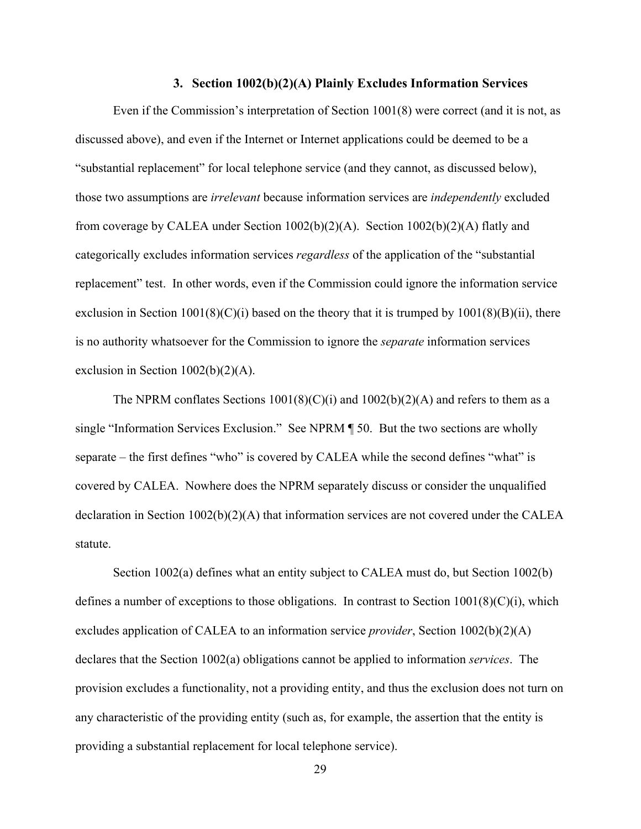#### 3. Section 1002(b)(2)(A) Plainly Excludes Information Services

Even if the Commission's interpretation of Section 1001(8) were correct (and it is not, as discussed above), and even if the Internet or Internet applications could be deemed to be a "substantial replacement" for local telephone service (and they cannot, as discussed below), those two assumptions are *irrelevant* because information services are *independently* excluded from coverage by CALEA under Section  $1002(b)(2)(A)$ . Section  $1002(b)(2)(A)$  flatly and categorically excludes information services *regardless* of the application of the "substantial replacement" test. In other words, even if the Commission could ignore the information service exclusion in Section 1001(8)(C)(i) based on the theory that it is trumped by  $1001(8)(B)(ii)$ , there is no authority whatsoever for the Commission to ignore the *separate* information services exclusion in Section 1002(b)(2)(A).

The NPRM conflates Sections  $1001(8)(C)(i)$  and  $1002(b)(2)(A)$  and refers to them as a single "Information Services Exclusion." See NPRM ¶ 50. But the two sections are wholly separate – the first defines "who" is covered by CALEA while the second defines "what" is covered by CALEA. Nowhere does the NPRM separately discuss or consider the unqualified declaration in Section 1002(b)(2)(A) that information services are not covered under the CALEA statute.

Section 1002(a) defines what an entity subject to CALEA must do, but Section 1002(b) defines a number of exceptions to those obligations. In contrast to Section  $1001(8)(C)(i)$ , which excludes application of CALEA to an information service *provider*, Section 1002(b)(2)(A) declares that the Section 1002(a) obligations cannot be applied to information *services*. The provision excludes a functionality, not a providing entity, and thus the exclusion does not turn on any characteristic of the providing entity (such as, for example, the assertion that the entity is providing a substantial replacement for local telephone service).

29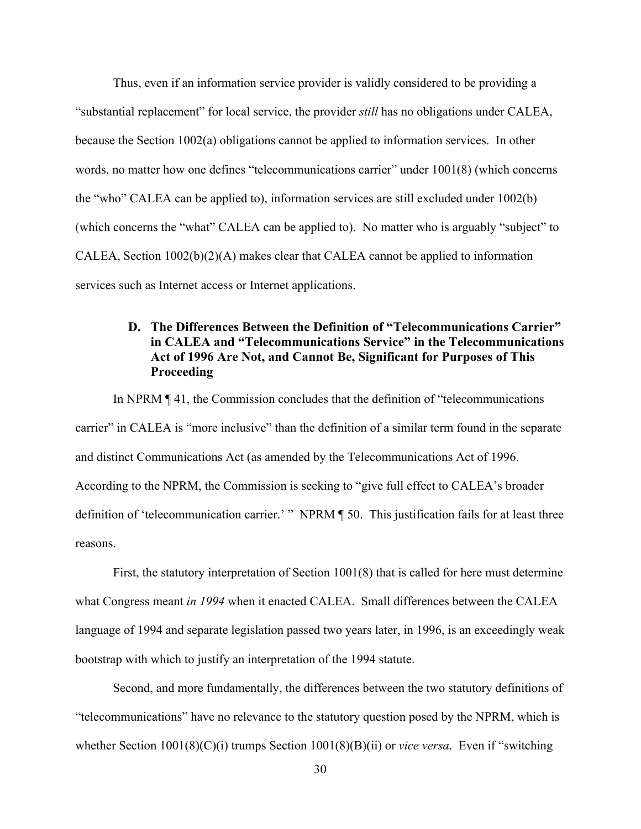Thus, even if an information service provider is validly considered to be providing a "substantial replacement" for local service, the provider *still* has no obligations under CALEA, because the Section 1002(a) obligations cannot be applied to information services. In other words, no matter how one defines "telecommunications carrier" under 1001(8) (which concerns the "who" CALEA can be applied to), information services are still excluded under 1002(b) (which concerns the "what" CALEA can be applied to). No matter who is arguably "subject" to CALEA, Section 1002(b)(2)(A) makes clear that CALEA cannot be applied to information services such as Internet access or Internet applications.

## D. The Differences Between the Definition of "Telecommunications Carrier" in CALEA and "Telecommunications Service" in the Telecommunications Act of 1996 Are Not, and Cannot Be, Significant for Purposes of This **Proceeding**

In NPRM ¶ 41, the Commission concludes that the definition of "telecommunications carrier" in CALEA is "more inclusive" than the definition of a similar term found in the separate and distinct Communications Act (as amended by the Telecommunications Act of 1996. According to the NPRM, the Commission is seeking to "give full effect to CALEA's broader definition of 'telecommunication carrier.' " NPRM ¶ 50. This justification fails for at least three reasons.

First, the statutory interpretation of Section 1001(8) that is called for here must determine what Congress meant *in 1994* when it enacted CALEA. Small differences between the CALEA language of 1994 and separate legislation passed two years later, in 1996, is an exceedingly weak bootstrap with which to justify an interpretation of the 1994 statute.

Second, and more fundamentally, the differences between the two statutory definitions of "telecommunications" have no relevance to the statutory question posed by the NPRM, which is whether Section 1001(8)(C)(i) trumps Section 1001(8)(B)(ii) or *vice versa*. Even if "switching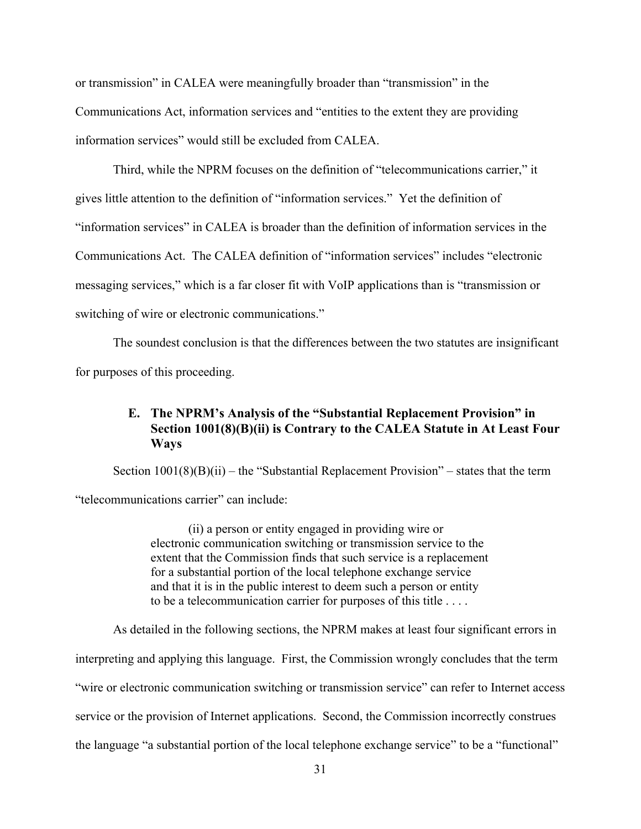or transmission" in CALEA were meaningfully broader than "transmission" in the Communications Act, information services and "entities to the extent they are providing information services" would still be excluded from CALEA.

Third, while the NPRM focuses on the definition of "telecommunications carrier," it gives little attention to the definition of "information services." Yet the definition of "information services" in CALEA is broader than the definition of information services in the Communications Act. The CALEA definition of "information services" includes "electronic messaging services," which is a far closer fit with VoIP applications than is "transmission or switching of wire or electronic communications."

The soundest conclusion is that the differences between the two statutes are insignificant for purposes of this proceeding.

## E. The NPRM's Analysis of the "Substantial Replacement Provision" in Section 1001(8)(B)(ii) is Contrary to the CALEA Statute in At Least Four Ways

Section  $1001(8)(B)(ii)$  – the "Substantial Replacement Provision" – states that the term "telecommunications carrier" can include:

> (ii) a person or entity engaged in providing wire or electronic communication switching or transmission service to the extent that the Commission finds that such service is a replacement for a substantial portion of the local telephone exchange service and that it is in the public interest to deem such a person or entity to be a telecommunication carrier for purposes of this title . . . .

As detailed in the following sections, the NPRM makes at least four significant errors in

interpreting and applying this language. First, the Commission wrongly concludes that the term

"wire or electronic communication switching or transmission service" can refer to Internet access

service or the provision of Internet applications. Second, the Commission incorrectly construes

the language "a substantial portion of the local telephone exchange service" to be a "functional"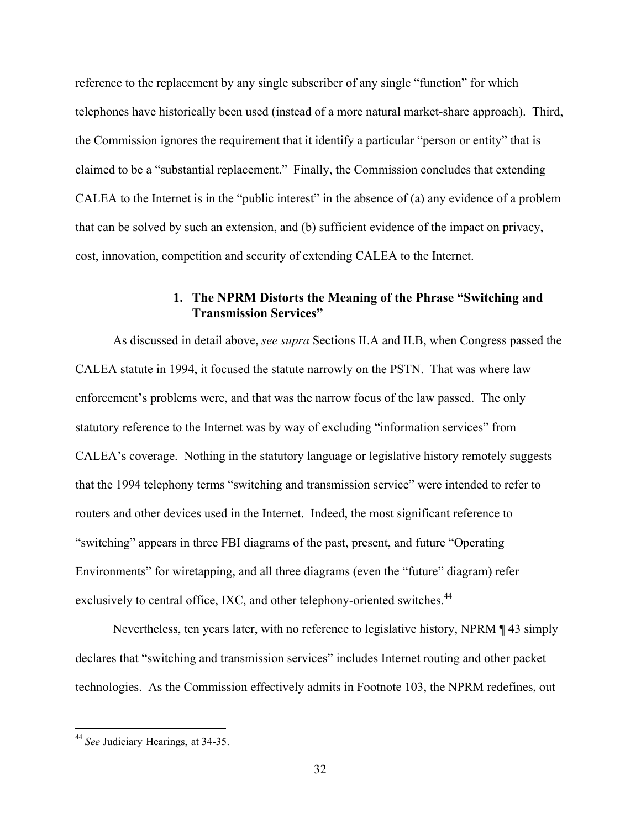reference to the replacement by any single subscriber of any single "function" for which telephones have historically been used (instead of a more natural market-share approach). Third, the Commission ignores the requirement that it identify a particular "person or entity" that is claimed to be a "substantial replacement." Finally, the Commission concludes that extending CALEA to the Internet is in the "public interest" in the absence of (a) any evidence of a problem that can be solved by such an extension, and (b) sufficient evidence of the impact on privacy, cost, innovation, competition and security of extending CALEA to the Internet.

### 1. The NPRM Distorts the Meaning of the Phrase "Switching and Transmission Services"

As discussed in detail above, *see supra* Sections II.A and II.B, when Congress passed the CALEA statute in 1994, it focused the statute narrowly on the PSTN. That was where law enforcement's problems were, and that was the narrow focus of the law passed. The only statutory reference to the Internet was by way of excluding "information services" from CALEA's coverage. Nothing in the statutory language or legislative history remotely suggests that the 1994 telephony terms "switching and transmission service" were intended to refer to routers and other devices used in the Internet. Indeed, the most significant reference to "switching" appears in three FBI diagrams of the past, present, and future "Operating Environments" for wiretapping, and all three diagrams (even the "future" diagram) refer exclusively to central office, IXC, and other telephony-oriented switches.<sup>44</sup>

Nevertheless, ten years later, with no reference to legislative history, NPRM ¶ 43 simply declares that "switching and transmission services" includes Internet routing and other packet technologies. As the Commission effectively admits in Footnote 103, the NPRM redefines, out

 <sup>44</sup> *See* Judiciary Hearings, at 34-35.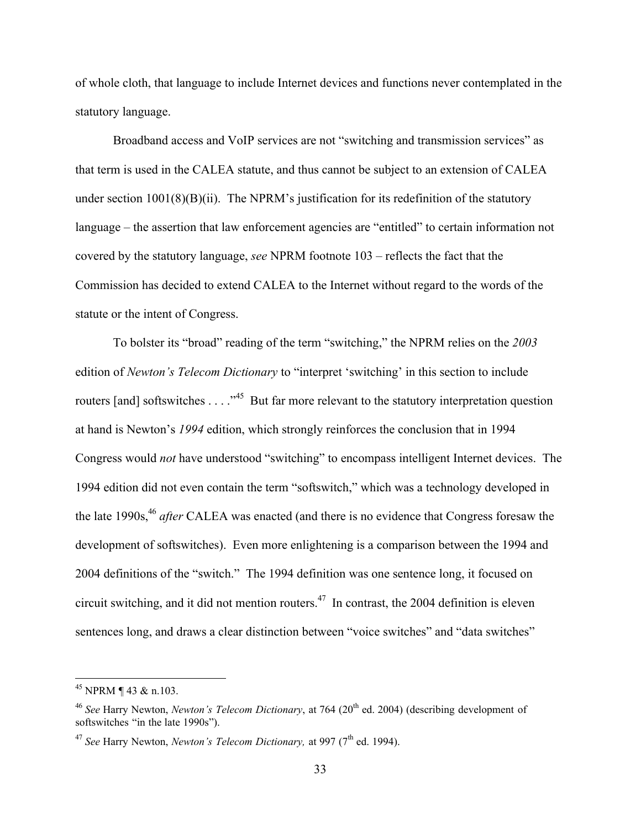of whole cloth, that language to include Internet devices and functions never contemplated in the statutory language.

Broadband access and VoIP services are not "switching and transmission services" as that term is used in the CALEA statute, and thus cannot be subject to an extension of CALEA under section  $1001(8)(B)(ii)$ . The NPRM's justification for its redefinition of the statutory language – the assertion that law enforcement agencies are "entitled" to certain information not covered by the statutory language, *see* NPRM footnote 103 – reflects the fact that the Commission has decided to extend CALEA to the Internet without regard to the words of the statute or the intent of Congress.

To bolster its "broad" reading of the term "switching," the NPRM relies on the *2003* edition of *Newton's Telecom Dictionary* to "interpret 'switching' in this section to include routers [and] softswitches . . . .<sup>45</sup> But far more relevant to the statutory interpretation question at hand is Newton's *1994* edition, which strongly reinforces the conclusion that in 1994 Congress would *not* have understood "switching" to encompass intelligent Internet devices. The 1994 edition did not even contain the term "softswitch," which was a technology developed in the late 1990s,<sup>46</sup> *after* CALEA was enacted (and there is no evidence that Congress foresaw the development of softswitches). Even more enlightening is a comparison between the 1994 and 2004 definitions of the "switch." The 1994 definition was one sentence long, it focused on circuit switching, and it did not mention routers.<sup>47</sup> In contrast, the 2004 definition is eleven sentences long, and draws a clear distinction between "voice switches" and "data switches"

 <sup>45</sup> NPRM ¶ 43 & n.103.

<sup>&</sup>lt;sup>46</sup> See Harry Newton, *Newton's Telecom Dictionary*, at 764 (20<sup>th</sup> ed. 2004) (describing development of softswitches "in the late 1990s").

<sup>&</sup>lt;sup>47</sup> See Harry Newton, *Newton's Telecom Dictionary*, at 997 (7<sup>th</sup> ed. 1994).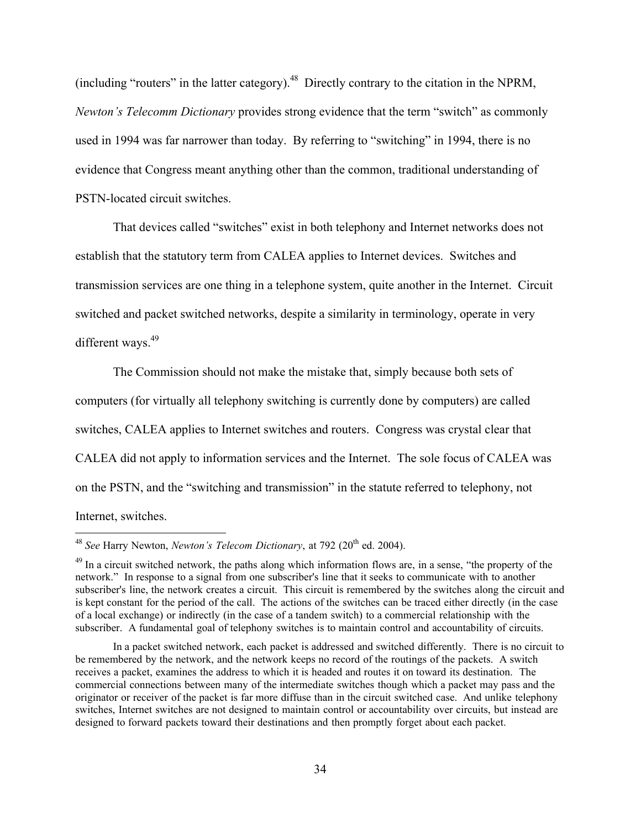(including "routers" in the latter category).<sup>48</sup> Directly contrary to the citation in the NPRM, *Newton's Telecomm Dictionary* provides strong evidence that the term "switch" as commonly used in 1994 was far narrower than today. By referring to "switching" in 1994, there is no evidence that Congress meant anything other than the common, traditional understanding of PSTN-located circuit switches.

That devices called "switches" exist in both telephony and Internet networks does not establish that the statutory term from CALEA applies to Internet devices. Switches and transmission services are one thing in a telephone system, quite another in the Internet. Circuit switched and packet switched networks, despite a similarity in terminology, operate in very different ways.<sup>49</sup>

The Commission should not make the mistake that, simply because both sets of computers (for virtually all telephony switching is currently done by computers) are called switches, CALEA applies to Internet switches and routers. Congress was crystal clear that CALEA did not apply to information services and the Internet. The sole focus of CALEA was on the PSTN, and the "switching and transmission" in the statute referred to telephony, not Internet, switches.

<sup>&</sup>lt;sup>48</sup> See Harry Newton, *Newton's Telecom Dictionary*, at 792 (20<sup>th</sup> ed. 2004).

<sup>&</sup>lt;sup>49</sup> In a circuit switched network, the paths along which information flows are, in a sense, "the property of the network." In response to a signal from one subscriber's line that it seeks to communicate with to another subscriber's line, the network creates a circuit. This circuit is remembered by the switches along the circuit and is kept constant for the period of the call. The actions of the switches can be traced either directly (in the case of a local exchange) or indirectly (in the case of a tandem switch) to a commercial relationship with the subscriber. A fundamental goal of telephony switches is to maintain control and accountability of circuits.

In a packet switched network, each packet is addressed and switched differently. There is no circuit to be remembered by the network, and the network keeps no record of the routings of the packets. A switch receives a packet, examines the address to which it is headed and routes it on toward its destination. The commercial connections between many of the intermediate switches though which a packet may pass and the originator or receiver of the packet is far more diffuse than in the circuit switched case. And unlike telephony switches, Internet switches are not designed to maintain control or accountability over circuits, but instead are designed to forward packets toward their destinations and then promptly forget about each packet.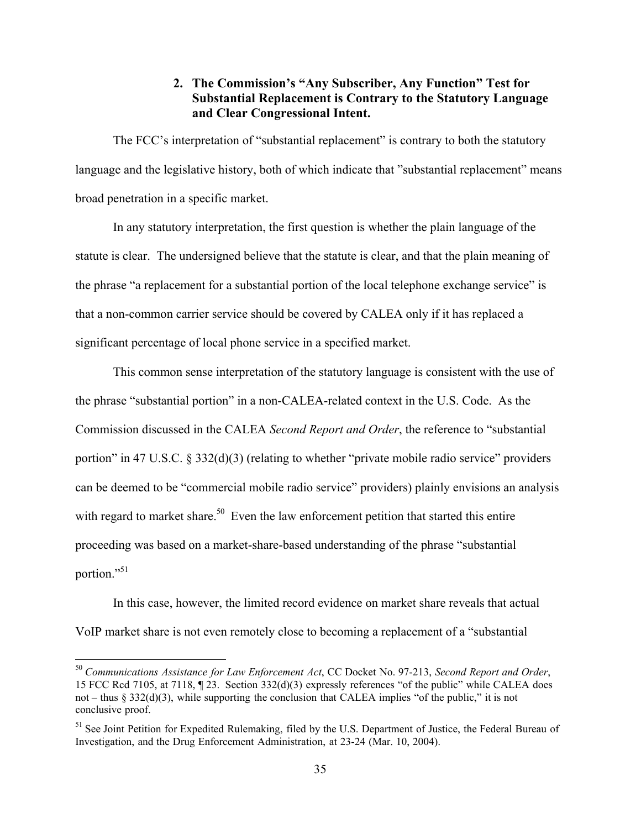## 2. The Commission's "Any Subscriber, Any Function" Test for Substantial Replacement is Contrary to the Statutory Language and Clear Congressional Intent.

The FCC's interpretation of "substantial replacement" is contrary to both the statutory language and the legislative history, both of which indicate that "substantial replacement" means broad penetration in a specific market.

In any statutory interpretation, the first question is whether the plain language of the statute is clear. The undersigned believe that the statute is clear, and that the plain meaning of the phrase "a replacement for a substantial portion of the local telephone exchange service" is that a non-common carrier service should be covered by CALEA only if it has replaced a significant percentage of local phone service in a specified market.

This common sense interpretation of the statutory language is consistent with the use of the phrase "substantial portion" in a non-CALEA-related context in the U.S. Code. As the Commission discussed in the CALEA *Second Report and Order*, the reference to "substantial portion" in 47 U.S.C. § 332(d)(3) (relating to whether "private mobile radio service" providers can be deemed to be "commercial mobile radio service" providers) plainly envisions an analysis with regard to market share.<sup>50</sup> Even the law enforcement petition that started this entire proceeding was based on a market-share-based understanding of the phrase "substantial portion."<sup>51</sup>

In this case, however, the limited record evidence on market share reveals that actual VoIP market share is not even remotely close to becoming a replacement of a "substantial

 <sup>50</sup> *Communications Assistance for Law Enforcement Act*, CC Docket No. 97-213, *Second Report and Order*, 15 FCC Rcd 7105, at 7118, ¶ 23. Section 332(d)(3) expressly references "of the public" while CALEA does not – thus § 332(d)(3), while supporting the conclusion that CALEA implies "of the public," it is not conclusive proof.

<sup>&</sup>lt;sup>51</sup> See Joint Petition for Expedited Rulemaking, filed by the U.S. Department of Justice, the Federal Bureau of Investigation, and the Drug Enforcement Administration, at 23-24 (Mar. 10, 2004).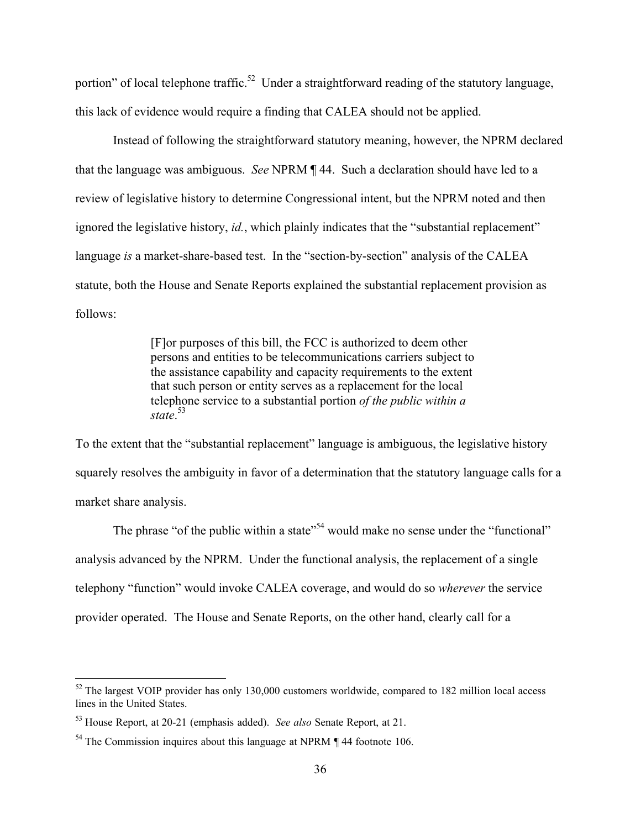portion" of local telephone traffic.<sup>52</sup> Under a straightforward reading of the statutory language, this lack of evidence would require a finding that CALEA should not be applied.

Instead of following the straightforward statutory meaning, however, the NPRM declared that the language was ambiguous. *See* NPRM ¶ 44. Such a declaration should have led to a review of legislative history to determine Congressional intent, but the NPRM noted and then ignored the legislative history, *id.*, which plainly indicates that the "substantial replacement" language *is* a market-share-based test. In the "section-by-section" analysis of the CALEA statute, both the House and Senate Reports explained the substantial replacement provision as follows:

> [F]or purposes of this bill, the FCC is authorized to deem other persons and entities to be telecommunications carriers subject to the assistance capability and capacity requirements to the extent that such person or entity serves as a replacement for the local telephone service to a substantial portion *of the public within a state*. 53

To the extent that the "substantial replacement" language is ambiguous, the legislative history squarely resolves the ambiguity in favor of a determination that the statutory language calls for a market share analysis.

The phrase "of the public within a state"<sup>54</sup> would make no sense under the "functional" analysis advanced by the NPRM. Under the functional analysis, the replacement of a single telephony "function" would invoke CALEA coverage, and would do so *wherever* the service provider operated. The House and Senate Reports, on the other hand, clearly call for a

<sup>&</sup>lt;sup>52</sup> The largest VOIP provider has only 130,000 customers worldwide, compared to 182 million local access lines in the United States.

<sup>53</sup> House Report, at 20-21 (emphasis added). *See also* Senate Report, at 21.

 $54$  The Commission inquires about this language at NPRM  $\P$  44 footnote 106.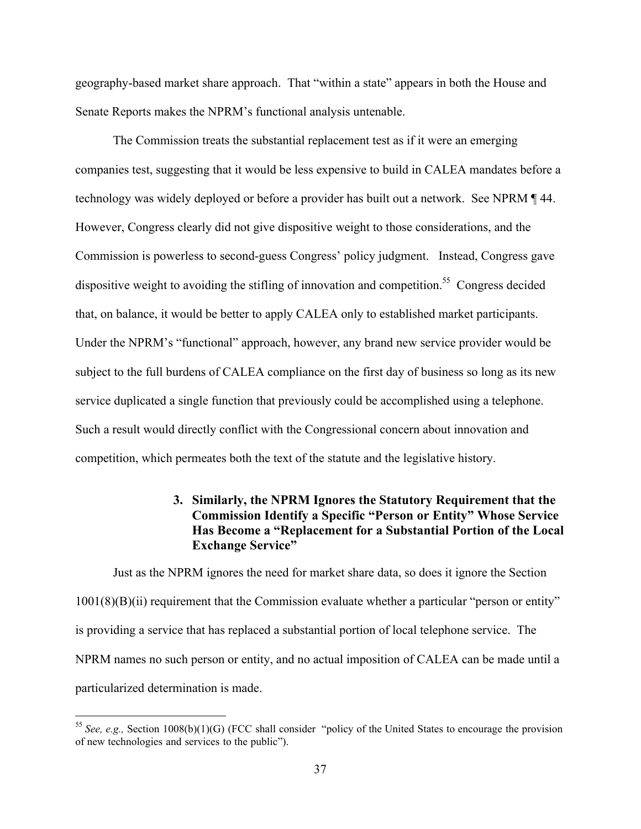geography-based market share approach. That "within a state" appears in both the House and Senate Reports makes the NPRM's functional analysis untenable.

The Commission treats the substantial replacement test as if it were an emerging companies test, suggesting that it would be less expensive to build in CALEA mandates before a technology was widely deployed or before a provider has built out a network. See NPRM ¶ 44. However, Congress clearly did not give dispositive weight to those considerations, and the Commission is powerless to second-guess Congress' policy judgment. Instead, Congress gave dispositive weight to avoiding the stifling of innovation and competition.<sup>55</sup> Congress decided that, on balance, it would be better to apply CALEA only to established market participants. Under the NPRM's "functional" approach, however, any brand new service provider would be subject to the full burdens of CALEA compliance on the first day of business so long as its new service duplicated a single function that previously could be accomplished using a telephone. Such a result would directly conflict with the Congressional concern about innovation and competition, which permeates both the text of the statute and the legislative history.

### 3. Similarly, the NPRM Ignores the Statutory Requirement that the Commission Identify a Specific "Person or Entity" Whose Service Has Become a "Replacement for a Substantial Portion of the Local Exchange Service"

Just as the NPRM ignores the need for market share data, so does it ignore the Section 1001(8)(B)(ii) requirement that the Commission evaluate whether a particular "person or entity" is providing a service that has replaced a substantial portion of local telephone service. The NPRM names no such person or entity, and no actual imposition of CALEA can be made until a particularized determination is made.

 <sup>55</sup> *See, e.g.,* Section 1008(b)(1)(G) (FCC shall consider "policy of the United States to encourage the provision of new technologies and services to the public").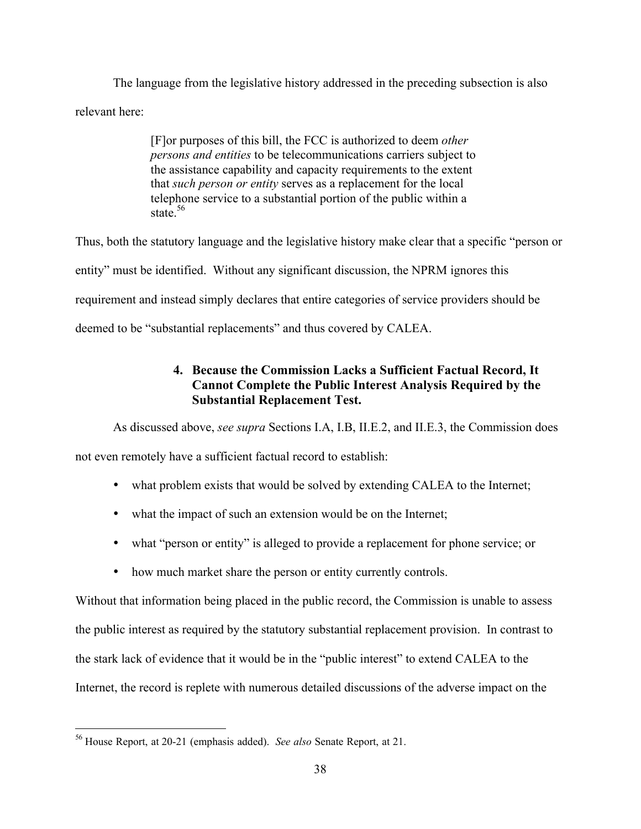The language from the legislative history addressed in the preceding subsection is also relevant here:

> [F]or purposes of this bill, the FCC is authorized to deem *other persons and entities* to be telecommunications carriers subject to the assistance capability and capacity requirements to the extent that *such person or entity* serves as a replacement for the local telephone service to a substantial portion of the public within a state<sup>56</sup>

Thus, both the statutory language and the legislative history make clear that a specific "person or entity" must be identified. Without any significant discussion, the NPRM ignores this requirement and instead simply declares that entire categories of service providers should be deemed to be "substantial replacements" and thus covered by CALEA.

# 4. Because the Commission Lacks a Sufficient Factual Record, It Cannot Complete the Public Interest Analysis Required by the Substantial Replacement Test.

As discussed above, *see supra* Sections I.A, I.B, II.E.2, and II.E.3, the Commission does

not even remotely have a sufficient factual record to establish:

- what problem exists that would be solved by extending CALEA to the Internet;
- what the impact of such an extension would be on the Internet;
- what "person or entity" is alleged to provide a replacement for phone service; or
- how much market share the person or entity currently controls.

Without that information being placed in the public record, the Commission is unable to assess the public interest as required by the statutory substantial replacement provision. In contrast to the stark lack of evidence that it would be in the "public interest" to extend CALEA to the Internet, the record is replete with numerous detailed discussions of the adverse impact on the

 <sup>56</sup> House Report, at 20-21 (emphasis added). *See also* Senate Report, at 21.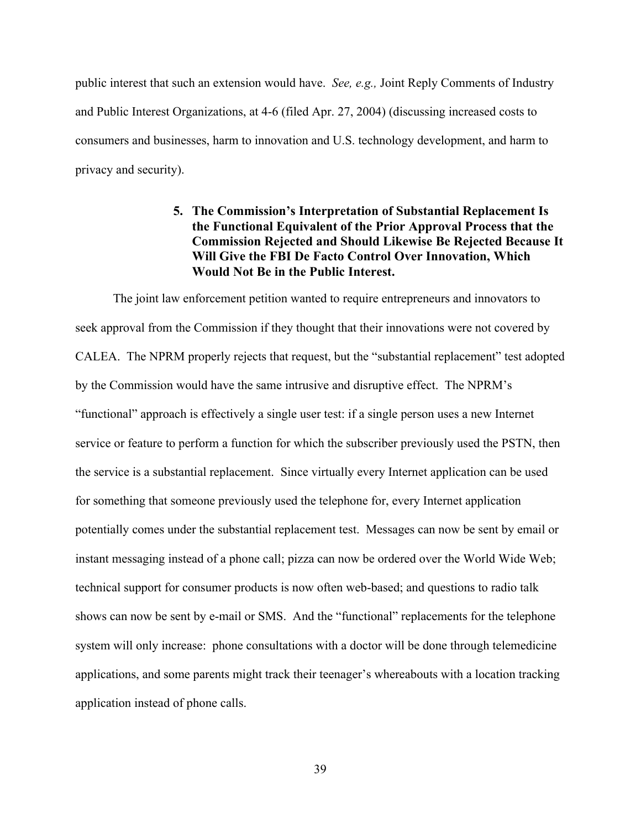public interest that such an extension would have. *See, e.g.,* Joint Reply Comments of Industry and Public Interest Organizations, at 4-6 (filed Apr. 27, 2004) (discussing increased costs to consumers and businesses, harm to innovation and U.S. technology development, and harm to privacy and security).

## 5. The Commission's Interpretation of Substantial Replacement Is the Functional Equivalent of the Prior Approval Process that the Commission Rejected and Should Likewise Be Rejected Because It Will Give the FBI De Facto Control Over Innovation, Which Would Not Be in the Public Interest.

The joint law enforcement petition wanted to require entrepreneurs and innovators to seek approval from the Commission if they thought that their innovations were not covered by CALEA. The NPRM properly rejects that request, but the "substantial replacement" test adopted by the Commission would have the same intrusive and disruptive effect. The NPRM's "functional" approach is effectively a single user test: if a single person uses a new Internet service or feature to perform a function for which the subscriber previously used the PSTN, then the service is a substantial replacement. Since virtually every Internet application can be used for something that someone previously used the telephone for, every Internet application potentially comes under the substantial replacement test. Messages can now be sent by email or instant messaging instead of a phone call; pizza can now be ordered over the World Wide Web; technical support for consumer products is now often web-based; and questions to radio talk shows can now be sent by e-mail or SMS. And the "functional" replacements for the telephone system will only increase: phone consultations with a doctor will be done through telemedicine applications, and some parents might track their teenager's whereabouts with a location tracking application instead of phone calls.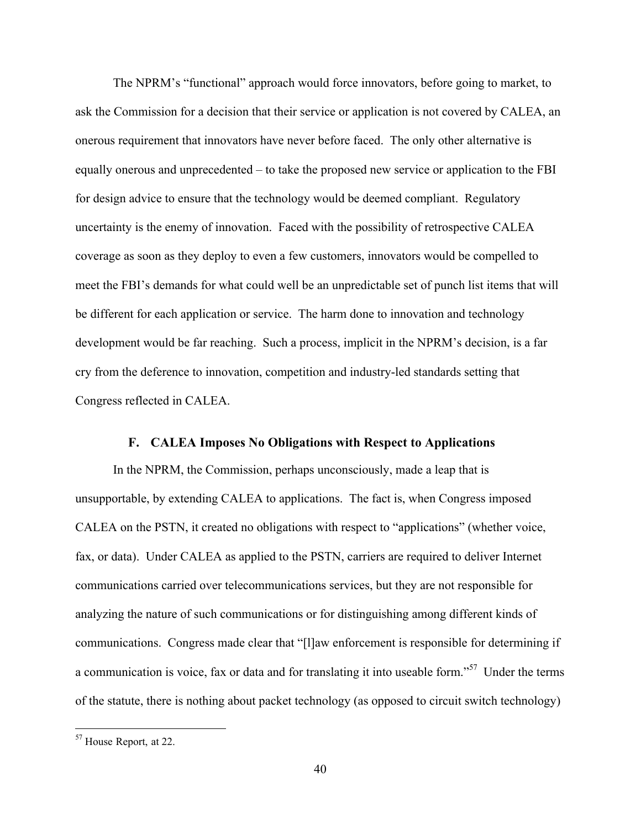The NPRM's "functional" approach would force innovators, before going to market, to ask the Commission for a decision that their service or application is not covered by CALEA, an onerous requirement that innovators have never before faced. The only other alternative is equally onerous and unprecedented – to take the proposed new service or application to the FBI for design advice to ensure that the technology would be deemed compliant. Regulatory uncertainty is the enemy of innovation. Faced with the possibility of retrospective CALEA coverage as soon as they deploy to even a few customers, innovators would be compelled to meet the FBI's demands for what could well be an unpredictable set of punch list items that will be different for each application or service. The harm done to innovation and technology development would be far reaching. Such a process, implicit in the NPRM's decision, is a far cry from the deference to innovation, competition and industry-led standards setting that Congress reflected in CALEA.

#### F. CALEA Imposes No Obligations with Respect to Applications

In the NPRM, the Commission, perhaps unconsciously, made a leap that is unsupportable, by extending CALEA to applications. The fact is, when Congress imposed CALEA on the PSTN, it created no obligations with respect to "applications" (whether voice, fax, or data). Under CALEA as applied to the PSTN, carriers are required to deliver Internet communications carried over telecommunications services, but they are not responsible for analyzing the nature of such communications or for distinguishing among different kinds of communications. Congress made clear that "[l]aw enforcement is responsible for determining if a communication is voice, fax or data and for translating it into useable form."<sup>57</sup> Under the terms of the statute, there is nothing about packet technology (as opposed to circuit switch technology)

 $57$  House Report, at 22.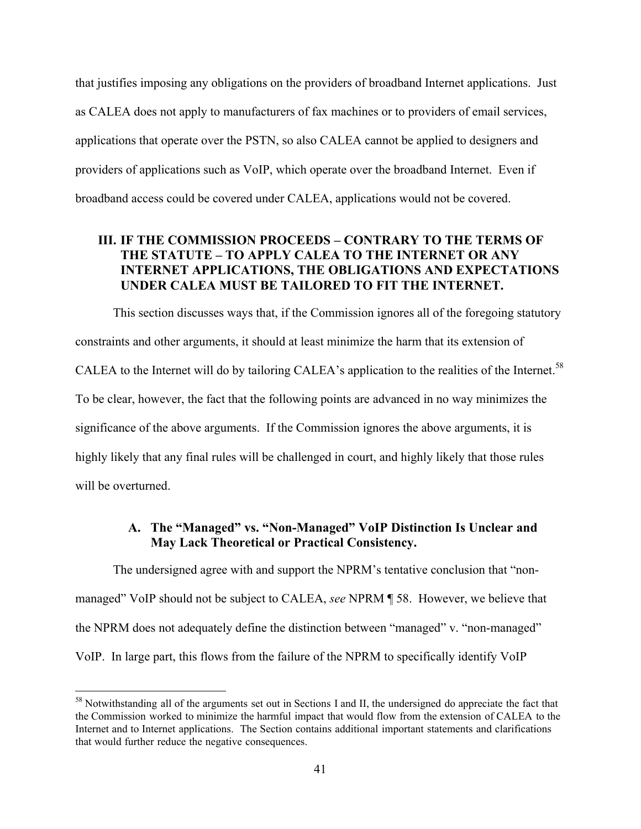that justifies imposing any obligations on the providers of broadband Internet applications. Just as CALEA does not apply to manufacturers of fax machines or to providers of email services, applications that operate over the PSTN, so also CALEA cannot be applied to designers and providers of applications such as VoIP, which operate over the broadband Internet. Even if broadband access could be covered under CALEA, applications would not be covered.

### III. IF THE COMMISSION PROCEEDS – CONTRARY TO THE TERMS OF THE STATUTE – TO APPLY CALEA TO THE INTERNET OR ANY INTERNET APPLICATIONS, THE OBLIGATIONS AND EXPECTATIONS UNDER CALEA MUST BE TAILORED TO FIT THE INTERNET.

This section discusses ways that, if the Commission ignores all of the foregoing statutory constraints and other arguments, it should at least minimize the harm that its extension of CALEA to the Internet will do by tailoring CALEA's application to the realities of the Internet.<sup>58</sup> To be clear, however, the fact that the following points are advanced in no way minimizes the significance of the above arguments. If the Commission ignores the above arguments, it is highly likely that any final rules will be challenged in court, and highly likely that those rules will be overturned.

## A. The "Managed" vs. "Non-Managed" VoIP Distinction Is Unclear and May Lack Theoretical or Practical Consistency.

The undersigned agree with and support the NPRM's tentative conclusion that "nonmanaged" VoIP should not be subject to CALEA, *see* NPRM ¶ 58. However, we believe that the NPRM does not adequately define the distinction between "managed" v. "non-managed" VoIP. In large part, this flows from the failure of the NPRM to specifically identify VoIP

<sup>&</sup>lt;sup>58</sup> Notwithstanding all of the arguments set out in Sections I and II, the undersigned do appreciate the fact that the Commission worked to minimize the harmful impact that would flow from the extension of CALEA to the Internet and to Internet applications. The Section contains additional important statements and clarifications that would further reduce the negative consequences.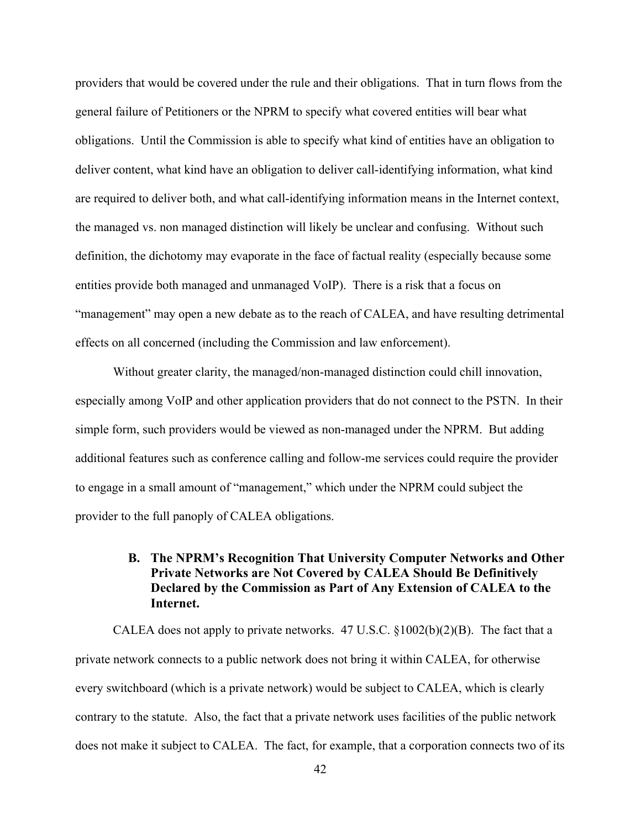providers that would be covered under the rule and their obligations. That in turn flows from the general failure of Petitioners or the NPRM to specify what covered entities will bear what obligations. Until the Commission is able to specify what kind of entities have an obligation to deliver content, what kind have an obligation to deliver call-identifying information, what kind are required to deliver both, and what call-identifying information means in the Internet context, the managed vs. non managed distinction will likely be unclear and confusing. Without such definition, the dichotomy may evaporate in the face of factual reality (especially because some entities provide both managed and unmanaged VoIP). There is a risk that a focus on "management" may open a new debate as to the reach of CALEA, and have resulting detrimental effects on all concerned (including the Commission and law enforcement).

Without greater clarity, the managed/non-managed distinction could chill innovation, especially among VoIP and other application providers that do not connect to the PSTN. In their simple form, such providers would be viewed as non-managed under the NPRM. But adding additional features such as conference calling and follow-me services could require the provider to engage in a small amount of "management," which under the NPRM could subject the provider to the full panoply of CALEA obligations.

## B. The NPRM's Recognition That University Computer Networks and Other Private Networks are Not Covered by CALEA Should Be Definitively Declared by the Commission as Part of Any Extension of CALEA to the Internet.

CALEA does not apply to private networks.  $47 \text{ U.S.C. } \S 1002(b)(2)(B)$ . The fact that a private network connects to a public network does not bring it within CALEA, for otherwise every switchboard (which is a private network) would be subject to CALEA, which is clearly contrary to the statute. Also, the fact that a private network uses facilities of the public network does not make it subject to CALEA. The fact, for example, that a corporation connects two of its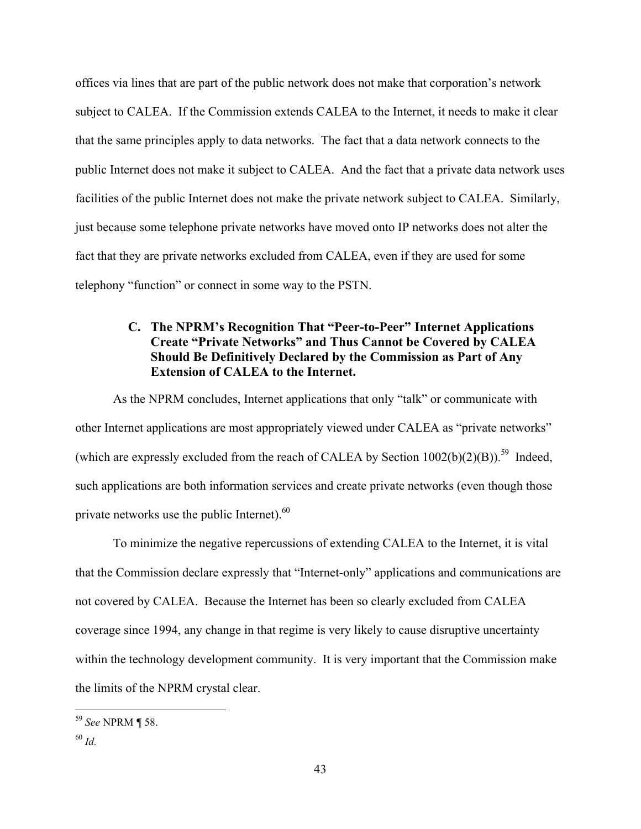offices via lines that are part of the public network does not make that corporation's network subject to CALEA. If the Commission extends CALEA to the Internet, it needs to make it clear that the same principles apply to data networks. The fact that a data network connects to the public Internet does not make it subject to CALEA. And the fact that a private data network uses facilities of the public Internet does not make the private network subject to CALEA. Similarly, just because some telephone private networks have moved onto IP networks does not alter the fact that they are private networks excluded from CALEA, even if they are used for some telephony "function" or connect in some way to the PSTN.

## C. The NPRM's Recognition That "Peer-to-Peer" Internet Applications Create "Private Networks" and Thus Cannot be Covered by CALEA Should Be Definitively Declared by the Commission as Part of Any Extension of CALEA to the Internet.

As the NPRM concludes, Internet applications that only "talk" or communicate with other Internet applications are most appropriately viewed under CALEA as "private networks" (which are expressly excluded from the reach of CALEA by Section  $1002(b)(2)(B)$ ).<sup>59</sup> Indeed, such applications are both information services and create private networks (even though those private networks use the public Internet).<sup>60</sup>

To minimize the negative repercussions of extending CALEA to the Internet, it is vital that the Commission declare expressly that "Internet-only" applications and communications are not covered by CALEA. Because the Internet has been so clearly excluded from CALEA coverage since 1994, any change in that regime is very likely to cause disruptive uncertainty within the technology development community. It is very important that the Commission make the limits of the NPRM crystal clear.

 <sup>59</sup> *See* NPRM ¶ 58.

<sup>60</sup> *Id.*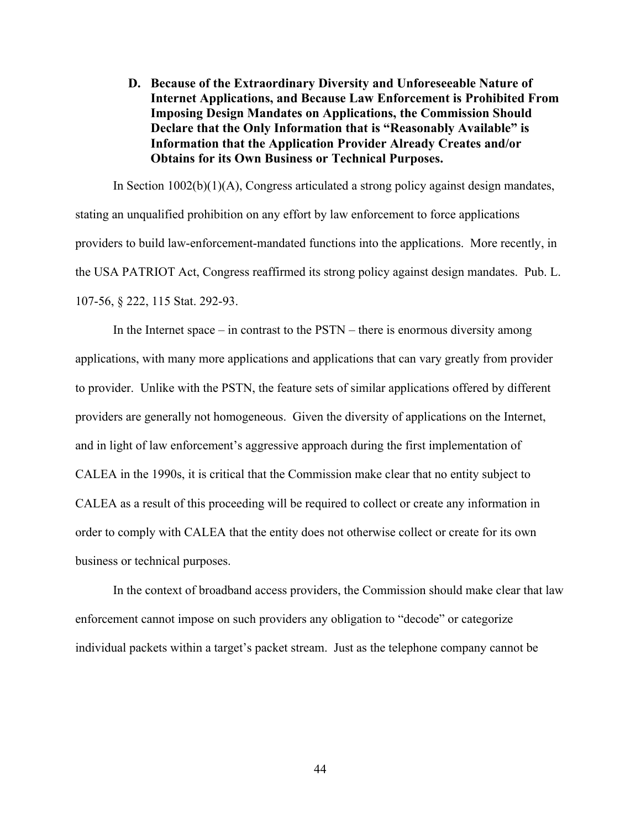D. Because of the Extraordinary Diversity and Unforeseeable Nature of Internet Applications, and Because Law Enforcement is Prohibited From Imposing Design Mandates on Applications, the Commission Should Declare that the Only Information that is "Reasonably Available" is Information that the Application Provider Already Creates and/or Obtains for its Own Business or Technical Purposes.

In Section 1002(b)(1)(A), Congress articulated a strong policy against design mandates, stating an unqualified prohibition on any effort by law enforcement to force applications providers to build law-enforcement-mandated functions into the applications. More recently, in the USA PATRIOT Act, Congress reaffirmed its strong policy against design mandates. Pub. L. 107-56, § 222, 115 Stat. 292-93.

In the Internet space – in contrast to the PSTN – there is enormous diversity among applications, with many more applications and applications that can vary greatly from provider to provider. Unlike with the PSTN, the feature sets of similar applications offered by different providers are generally not homogeneous. Given the diversity of applications on the Internet, and in light of law enforcement's aggressive approach during the first implementation of CALEA in the 1990s, it is critical that the Commission make clear that no entity subject to CALEA as a result of this proceeding will be required to collect or create any information in order to comply with CALEA that the entity does not otherwise collect or create for its own business or technical purposes.

In the context of broadband access providers, the Commission should make clear that law enforcement cannot impose on such providers any obligation to "decode" or categorize individual packets within a target's packet stream. Just as the telephone company cannot be

44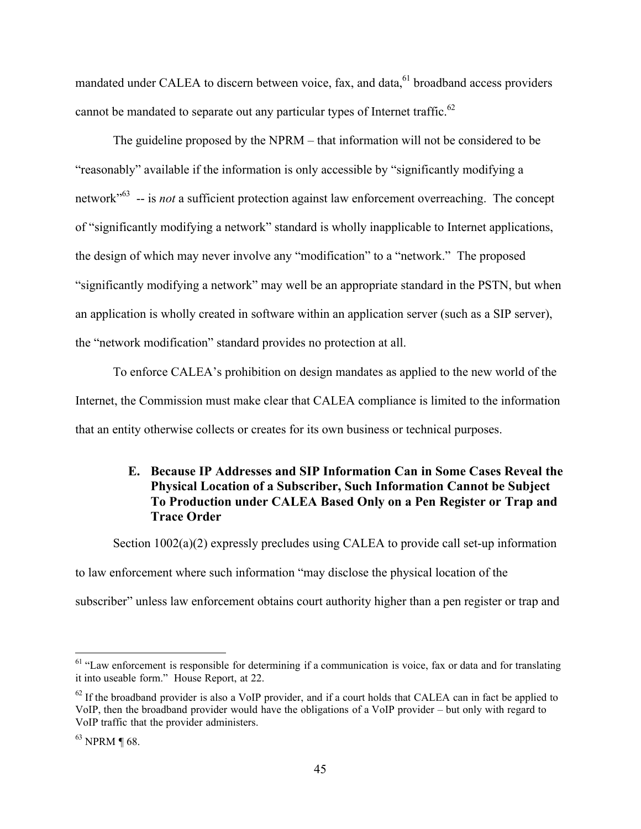mandated under CALEA to discern between voice, fax, and data, <sup>61</sup> broadband access providers cannot be mandated to separate out any particular types of Internet traffic.<sup>62</sup>

The guideline proposed by the NPRM – that information will not be considered to be "reasonably" available if the information is only accessible by "significantly modifying a network<sup>"63</sup> -- is *not* a sufficient protection against law enforcement overreaching. The concept of "significantly modifying a network" standard is wholly inapplicable to Internet applications, the design of which may never involve any "modification" to a "network." The proposed "significantly modifying a network" may well be an appropriate standard in the PSTN, but when an application is wholly created in software within an application server (such as a SIP server), the "network modification" standard provides no protection at all.

To enforce CALEA's prohibition on design mandates as applied to the new world of the Internet, the Commission must make clear that CALEA compliance is limited to the information that an entity otherwise collects or creates for its own business or technical purposes.

# E. Because IP Addresses and SIP Information Can in Some Cases Reveal the Physical Location of a Subscriber, Such Information Cannot be Subject To Production under CALEA Based Only on a Pen Register or Trap and Trace Order

Section 1002(a)(2) expressly precludes using CALEA to provide call set-up information to law enforcement where such information "may disclose the physical location of the subscriber" unless law enforcement obtains court authority higher than a pen register or trap and

<sup>&</sup>lt;sup>61</sup> "Law enforcement is responsible for determining if a communication is voice, fax or data and for translating it into useable form." House Report, at 22.

 $^{62}$  If the broadband provider is also a VoIP provider, and if a court holds that CALEA can in fact be applied to VoIP, then the broadband provider would have the obligations of a VoIP provider – but only with regard to VoIP traffic that the provider administers.

 $63$  NPRM ¶ 68.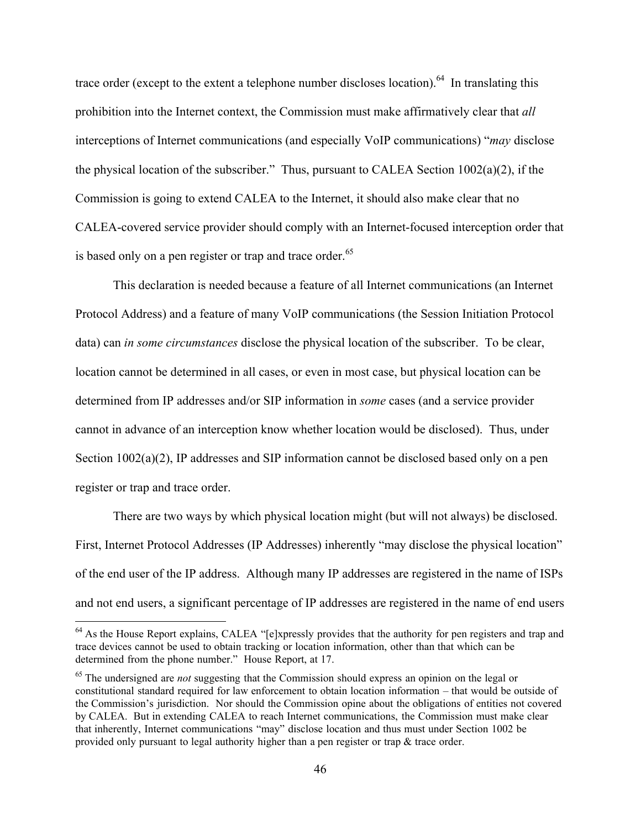trace order (except to the extent a telephone number discloses location).<sup>64</sup> In translating this prohibition into the Internet context, the Commission must make affirmatively clear that *all* interceptions of Internet communications (and especially VoIP communications) "*may* disclose the physical location of the subscriber." Thus, pursuant to CALEA Section 1002(a)(2), if the Commission is going to extend CALEA to the Internet, it should also make clear that no CALEA-covered service provider should comply with an Internet-focused interception order that is based only on a pen register or trap and trace order.<sup>65</sup>

This declaration is needed because a feature of all Internet communications (an Internet Protocol Address) and a feature of many VoIP communications (the Session Initiation Protocol data) can *in some circumstances* disclose the physical location of the subscriber. To be clear, location cannot be determined in all cases, or even in most case, but physical location can be determined from IP addresses and/or SIP information in *some* cases (and a service provider cannot in advance of an interception know whether location would be disclosed). Thus, under Section 1002(a)(2), IP addresses and SIP information cannot be disclosed based only on a pen register or trap and trace order.

There are two ways by which physical location might (but will not always) be disclosed. First, Internet Protocol Addresses (IP Addresses) inherently "may disclose the physical location" of the end user of the IP address. Although many IP addresses are registered in the name of ISPs and not end users, a significant percentage of IP addresses are registered in the name of end users

<sup>&</sup>lt;sup>64</sup> As the House Report explains, CALEA "[e]xpressly provides that the authority for pen registers and trap and trace devices cannot be used to obtain tracking or location information, other than that which can be determined from the phone number." House Report, at 17.

<sup>&</sup>lt;sup>65</sup> The undersigned are *not* suggesting that the Commission should express an opinion on the legal or constitutional standard required for law enforcement to obtain location information – that would be outside of the Commission's jurisdiction. Nor should the Commission opine about the obligations of entities not covered by CALEA. But in extending CALEA to reach Internet communications, the Commission must make clear that inherently, Internet communications "may" disclose location and thus must under Section 1002 be provided only pursuant to legal authority higher than a pen register or trap & trace order.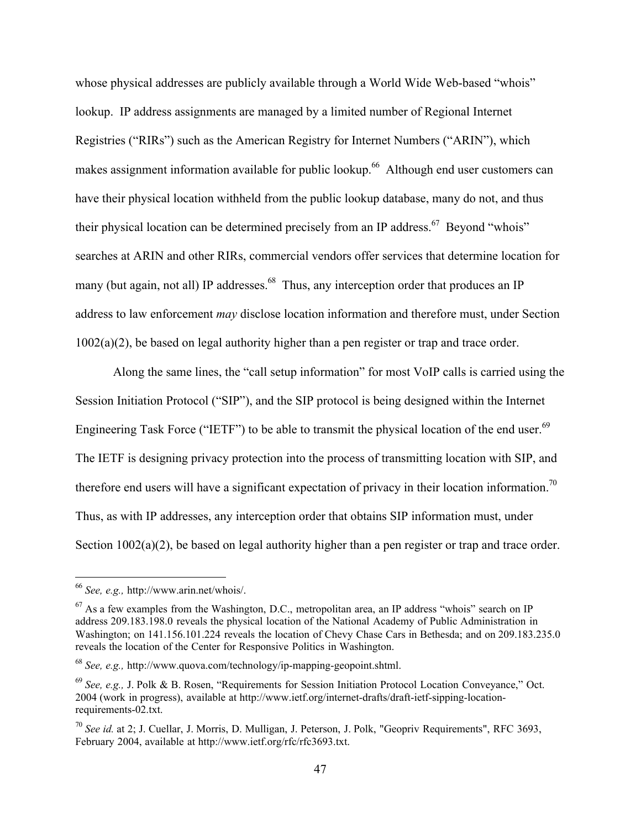whose physical addresses are publicly available through a World Wide Web-based "whois" lookup. IP address assignments are managed by a limited number of Regional Internet Registries ("RIRs") such as the American Registry for Internet Numbers ("ARIN"), which makes assignment information available for public lookup.<sup>66</sup> Although end user customers can have their physical location withheld from the public lookup database, many do not, and thus their physical location can be determined precisely from an IP address.<sup>67</sup> Beyond "whois" searches at ARIN and other RIRs, commercial vendors offer services that determine location for many (but again, not all) IP addresses.<sup>68</sup> Thus, any interception order that produces an IP address to law enforcement *may* disclose location information and therefore must, under Section  $1002(a)(2)$ , be based on legal authority higher than a pen register or trap and trace order.

Along the same lines, the "call setup information" for most VoIP calls is carried using the Session Initiation Protocol ("SIP"), and the SIP protocol is being designed within the Internet Engineering Task Force ("IETF") to be able to transmit the physical location of the end user.<sup>69</sup> The IETF is designing privacy protection into the process of transmitting location with SIP, and therefore end users will have a significant expectation of privacy in their location information.<sup>70</sup> Thus, as with IP addresses, any interception order that obtains SIP information must, under Section 1002(a)(2), be based on legal authority higher than a pen register or trap and trace order.

 <sup>66</sup> *See, e.g.,* http://www.arin.net/whois/.

 $67$  As a few examples from the Washington, D.C., metropolitan area, an IP address "whois" search on IP address 209.183.198.0 reveals the physical location of the National Academy of Public Administration in Washington; on 141.156.101.224 reveals the location of Chevy Chase Cars in Bethesda; and on 209.183.235.0 reveals the location of the Center for Responsive Politics in Washington.

<sup>68</sup> *See, e.g.,* http://www.quova.com/technology/ip-mapping-geopoint.shtml.

<sup>69</sup> *See, e.g.,* J. Polk & B. Rosen, "Requirements for Session Initiation Protocol Location Conveyance," Oct. 2004 (work in progress), available at http://www.ietf.org/internet-drafts/draft-ietf-sipping-locationrequirements-02.txt.

<sup>70</sup> *See id.* at 2; J. Cuellar, J. Morris, D. Mulligan, J. Peterson, J. Polk, "Geopriv Requirements", RFC 3693, February 2004, available at http://www.ietf.org/rfc/rfc3693.txt.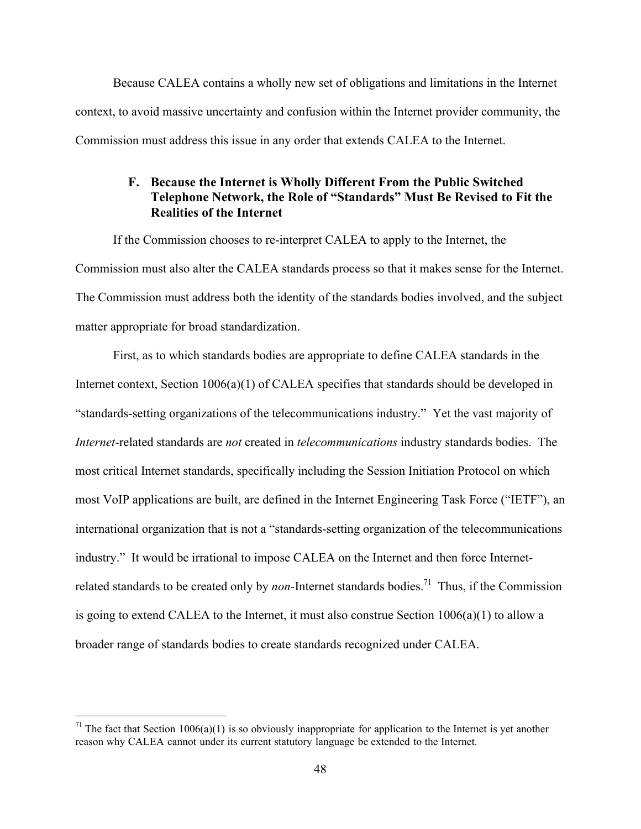Because CALEA contains a wholly new set of obligations and limitations in the Internet context, to avoid massive uncertainty and confusion within the Internet provider community, the Commission must address this issue in any order that extends CALEA to the Internet.

### F. Because the Internet is Wholly Different From the Public Switched Telephone Network, the Role of "Standards" Must Be Revised to Fit the Realities of the Internet

If the Commission chooses to re-interpret CALEA to apply to the Internet, the Commission must also alter the CALEA standards process so that it makes sense for the Internet. The Commission must address both the identity of the standards bodies involved, and the subject matter appropriate for broad standardization.

First, as to which standards bodies are appropriate to define CALEA standards in the Internet context, Section 1006(a)(1) of CALEA specifies that standards should be developed in "standards-setting organizations of the telecommunications industry." Yet the vast majority of *Internet*-related standards are *not* created in *telecommunications* industry standards bodies. The most critical Internet standards, specifically including the Session Initiation Protocol on which most VoIP applications are built, are defined in the Internet Engineering Task Force ("IETF"), an international organization that is not a "standards-setting organization of the telecommunications industry." It would be irrational to impose CALEA on the Internet and then force Internetrelated standards to be created only by *non*-Internet standards bodies.<sup>71</sup> Thus, if the Commission is going to extend CALEA to the Internet, it must also construe Section 1006(a)(1) to allow a broader range of standards bodies to create standards recognized under CALEA.

<sup>&</sup>lt;sup>71</sup> The fact that Section 1006(a)(1) is so obviously inappropriate for application to the Internet is yet another reason why CALEA cannot under its current statutory language be extended to the Internet.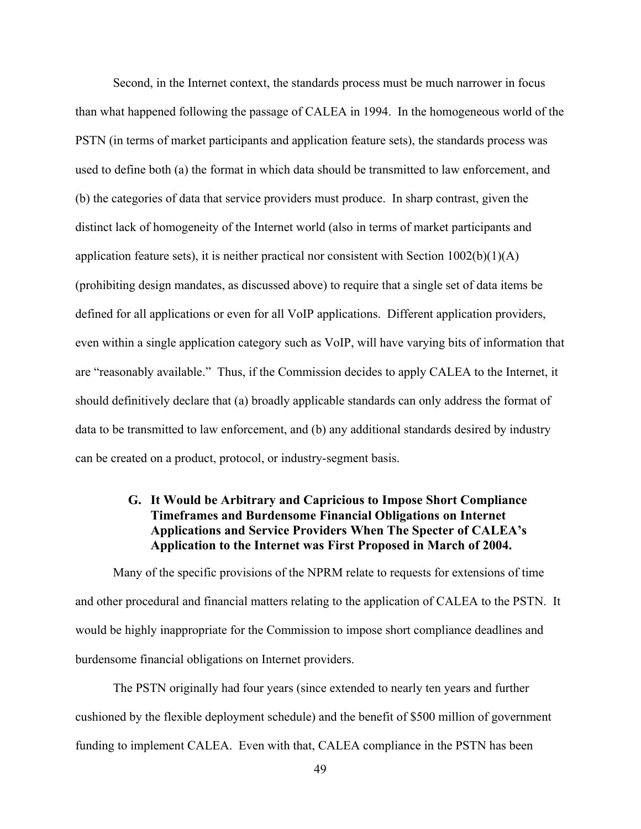Second, in the Internet context, the standards process must be much narrower in focus than what happened following the passage of CALEA in 1994. In the homogeneous world of the PSTN (in terms of market participants and application feature sets), the standards process was used to define both (a) the format in which data should be transmitted to law enforcement, and (b) the categories of data that service providers must produce. In sharp contrast, given the distinct lack of homogeneity of the Internet world (also in terms of market participants and application feature sets), it is neither practical nor consistent with Section  $1002(b)(1)(A)$ (prohibiting design mandates, as discussed above) to require that a single set of data items be defined for all applications or even for all VoIP applications. Different application providers, even within a single application category such as VoIP, will have varying bits of information that are "reasonably available." Thus, if the Commission decides to apply CALEA to the Internet, it should definitively declare that (a) broadly applicable standards can only address the format of data to be transmitted to law enforcement, and (b) any additional standards desired by industry can be created on a product, protocol, or industry-segment basis.

### G. It Would be Arbitrary and Capricious to Impose Short Compliance Timeframes and Burdensome Financial Obligations on Internet Applications and Service Providers When The Specter of CALEA's Application to the Internet was First Proposed in March of 2004.

Many of the specific provisions of the NPRM relate to requests for extensions of time and other procedural and financial matters relating to the application of CALEA to the PSTN. It would be highly inappropriate for the Commission to impose short compliance deadlines and burdensome financial obligations on Internet providers.

The PSTN originally had four years (since extended to nearly ten years and further cushioned by the flexible deployment schedule) and the benefit of \$500 million of government funding to implement CALEA. Even with that, CALEA compliance in the PSTN has been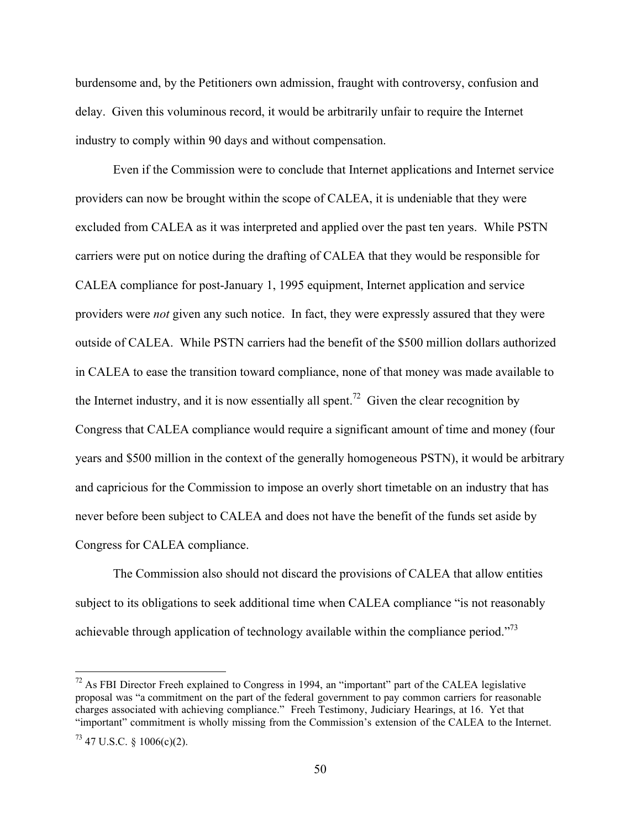burdensome and, by the Petitioners own admission, fraught with controversy, confusion and delay. Given this voluminous record, it would be arbitrarily unfair to require the Internet industry to comply within 90 days and without compensation.

Even if the Commission were to conclude that Internet applications and Internet service providers can now be brought within the scope of CALEA, it is undeniable that they were excluded from CALEA as it was interpreted and applied over the past ten years. While PSTN carriers were put on notice during the drafting of CALEA that they would be responsible for CALEA compliance for post-January 1, 1995 equipment, Internet application and service providers were *not* given any such notice. In fact, they were expressly assured that they were outside of CALEA. While PSTN carriers had the benefit of the \$500 million dollars authorized in CALEA to ease the transition toward compliance, none of that money was made available to the Internet industry, and it is now essentially all spent.<sup>72</sup> Given the clear recognition by Congress that CALEA compliance would require a significant amount of time and money (four years and \$500 million in the context of the generally homogeneous PSTN), it would be arbitrary and capricious for the Commission to impose an overly short timetable on an industry that has never before been subject to CALEA and does not have the benefit of the funds set aside by Congress for CALEA compliance.

The Commission also should not discard the provisions of CALEA that allow entities subject to its obligations to seek additional time when CALEA compliance "is not reasonably achievable through application of technology available within the compliance period."<sup>73</sup>

<sup>&</sup>lt;sup>72</sup> As FBI Director Freeh explained to Congress in 1994, an "important" part of the CALEA legislative proposal was "a commitment on the part of the federal government to pay common carriers for reasonable charges associated with achieving compliance." Freeh Testimony, Judiciary Hearings, at 16. Yet that "important" commitment is wholly missing from the Commission's extension of the CALEA to the Internet.

 $^{73}$  47 U.S.C. § 1006(c)(2).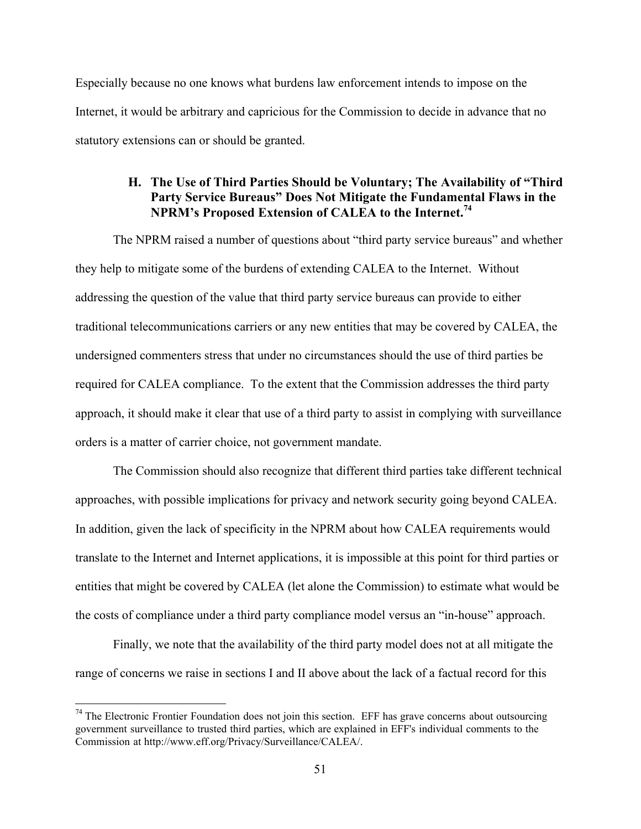Especially because no one knows what burdens law enforcement intends to impose on the Internet, it would be arbitrary and capricious for the Commission to decide in advance that no statutory extensions can or should be granted.

### H. The Use of Third Parties Should be Voluntary; The Availability of "Third Party Service Bureaus" Does Not Mitigate the Fundamental Flaws in the NPRM's Proposed Extension of CALEA to the Internet.<sup>74</sup>

The NPRM raised a number of questions about "third party service bureaus" and whether they help to mitigate some of the burdens of extending CALEA to the Internet. Without addressing the question of the value that third party service bureaus can provide to either traditional telecommunications carriers or any new entities that may be covered by CALEA, the undersigned commenters stress that under no circumstances should the use of third parties be required for CALEA compliance. To the extent that the Commission addresses the third party approach, it should make it clear that use of a third party to assist in complying with surveillance orders is a matter of carrier choice, not government mandate.

The Commission should also recognize that different third parties take different technical approaches, with possible implications for privacy and network security going beyond CALEA. In addition, given the lack of specificity in the NPRM about how CALEA requirements would translate to the Internet and Internet applications, it is impossible at this point for third parties or entities that might be covered by CALEA (let alone the Commission) to estimate what would be the costs of compliance under a third party compliance model versus an "in-house" approach.

Finally, we note that the availability of the third party model does not at all mitigate the range of concerns we raise in sections I and II above about the lack of a factual record for this

<sup>&</sup>lt;sup>74</sup> The Electronic Frontier Foundation does not join this section. EFF has grave concerns about outsourcing government surveillance to trusted third parties, which are explained in EFF's individual comments to the Commission at http://www.eff.org/Privacy/Surveillance/CALEA/.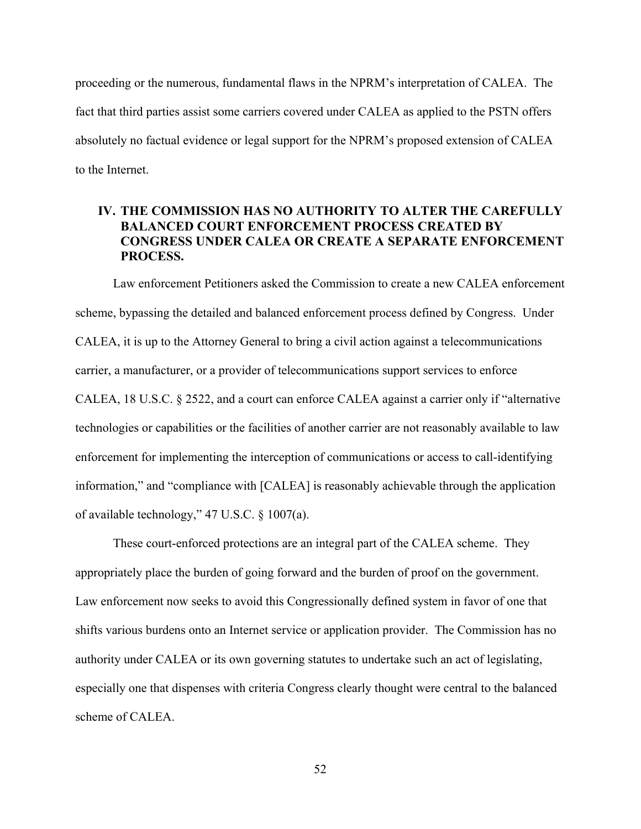proceeding or the numerous, fundamental flaws in the NPRM's interpretation of CALEA. The fact that third parties assist some carriers covered under CALEA as applied to the PSTN offers absolutely no factual evidence or legal support for the NPRM's proposed extension of CALEA to the Internet.

### IV. THE COMMISSION HAS NO AUTHORITY TO ALTER THE CAREFULLY BALANCED COURT ENFORCEMENT PROCESS CREATED BY CONGRESS UNDER CALEA OR CREATE A SEPARATE ENFORCEMENT PROCESS.

Law enforcement Petitioners asked the Commission to create a new CALEA enforcement scheme, bypassing the detailed and balanced enforcement process defined by Congress. Under CALEA, it is up to the Attorney General to bring a civil action against a telecommunications carrier, a manufacturer, or a provider of telecommunications support services to enforce CALEA, 18 U.S.C. § 2522, and a court can enforce CALEA against a carrier only if "alternative technologies or capabilities or the facilities of another carrier are not reasonably available to law enforcement for implementing the interception of communications or access to call-identifying information," and "compliance with [CALEA] is reasonably achievable through the application of available technology," 47 U.S.C. § 1007(a).

These court-enforced protections are an integral part of the CALEA scheme. They appropriately place the burden of going forward and the burden of proof on the government. Law enforcement now seeks to avoid this Congressionally defined system in favor of one that shifts various burdens onto an Internet service or application provider. The Commission has no authority under CALEA or its own governing statutes to undertake such an act of legislating, especially one that dispenses with criteria Congress clearly thought were central to the balanced scheme of CALEA.

52